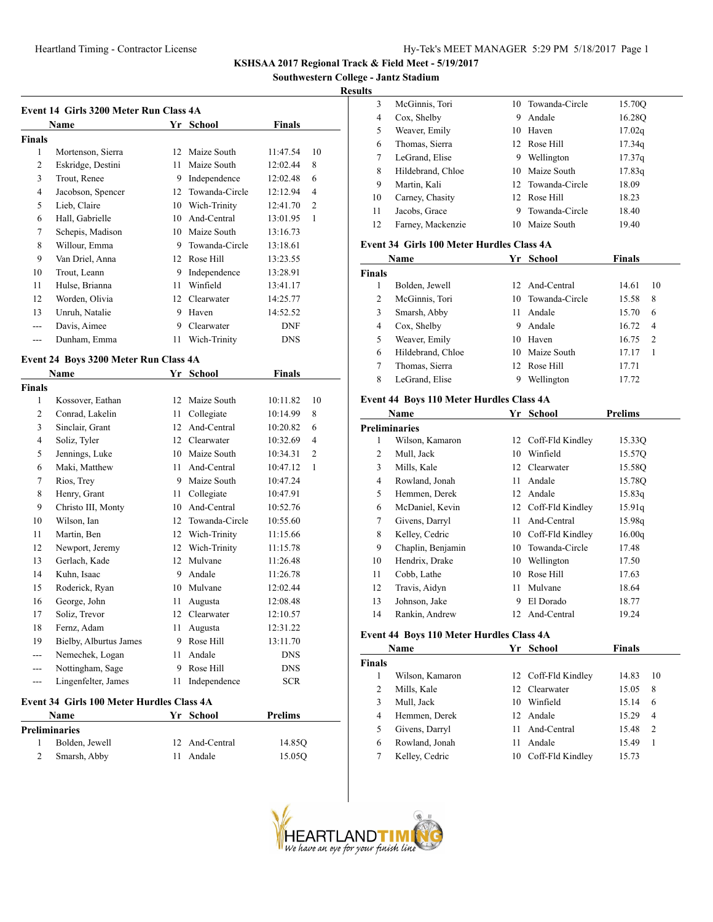**Southwestern College - Jantz Stadium**

## **Results**

| Name           |                   | Yr | School         | <b>Finals</b> |                |
|----------------|-------------------|----|----------------|---------------|----------------|
| <b>Finals</b>  |                   |    |                |               |                |
| 1              | Mortenson, Sierra | 12 | Maize South    | 11:47.54      | 10             |
| $\overline{c}$ | Eskridge, Destini | 11 | Maize South    | 12:02.44      | 8              |
| 3              | Trout, Renee      | 9  | Independence   | 12:02.48      | 6              |
| 4              | Jacobson, Spencer | 12 | Towanda-Circle | 12:12.94      | 4              |
| 5              | Lieb, Claire      | 10 | Wich-Trinity   | 12:41.70      | $\overline{2}$ |
| 6              | Hall, Gabrielle   | 10 | And-Central    | 13:01.95      | 1              |
| 7              | Schepis, Madison  | 10 | Maize South    | 13:16.73      |                |
| 8              | Willour, Emma     | 9  | Towanda-Circle | 13:18.61      |                |
| 9              | Van Driel, Anna   | 12 | Rose Hill      | 13:23.55      |                |
| 10             | Trout, Leann      | 9  | Independence   | 13:28.91      |                |
| 11             | Hulse, Brianna    | 11 | Winfield       | 13:41.17      |                |
| 12             | Worden, Olivia    | 12 | Clearwater     | 14:25.77      |                |
| 13             | Unruh, Natalie    | 9  | Haven          | 14:52.52      |                |
|                | Davis, Aimee      | 9  | Clearwater     | <b>DNF</b>    |                |
|                | Dunham, Emma      | 11 | Wich-Trinity   | <b>DNS</b>    |                |

### **Event 24 Boys 3200 Meter Run Class 4A**

|                | Name                                      | Yr | <b>School</b>  | Finals     |    |  |  |  |
|----------------|-------------------------------------------|----|----------------|------------|----|--|--|--|
| Finals         |                                           |    |                |            |    |  |  |  |
| 1              | Kossover, Eathan                          | 12 | Maize South    | 10:11.82   | 10 |  |  |  |
| $\overline{2}$ | Conrad, Lakelin                           | 11 | Collegiate     | 10:14.99   | 8  |  |  |  |
| 3              | Sinclair, Grant                           | 12 | And-Central    | 10:20.82   | 6  |  |  |  |
| 4              | Soliz, Tyler                              | 12 | Clearwater     | 10:32.69   | 4  |  |  |  |
| 5              | Jennings, Luke                            | 10 | Maize South    | 10:34.31   | 2  |  |  |  |
| 6              | Maki, Matthew                             | 11 | And-Central    | 10:47.12   | 1  |  |  |  |
| 7              | Rios, Trey                                | 9  | Maize South    | 10:47.24   |    |  |  |  |
| 8              | Henry, Grant                              | 11 | Collegiate     | 10:47.91   |    |  |  |  |
| 9              | Christo III, Monty                        | 10 | And-Central    | 10:52.76   |    |  |  |  |
| 10             | Wilson, Ian                               | 12 | Towanda-Circle | 10:55.60   |    |  |  |  |
| 11             | Martin, Ben                               | 12 | Wich-Trinity   | 11:15.66   |    |  |  |  |
| 12             | Newport, Jeremy                           | 12 | Wich-Trinity   | 11:15.78   |    |  |  |  |
| 13             | Gerlach, Kade                             | 12 | Mulvane        | 11:26.48   |    |  |  |  |
| 14             | Kuhn, Isaac                               | 9  | Andale         | 11:26.78   |    |  |  |  |
| 15             | Roderick, Ryan                            | 10 | Mulvane        | 12:02.44   |    |  |  |  |
| 16             | George, John                              | 11 | Augusta        | 12:08.48   |    |  |  |  |
| 17             | Soliz, Trevor                             | 12 | Clearwater     | 12:10.57   |    |  |  |  |
| 18             | Fernz, Adam                               | 11 | Augusta        | 12:31.22   |    |  |  |  |
| 19             | Bielby, Alburtus James                    | 9  | Rose Hill      | 13:11.70   |    |  |  |  |
| ---            | Nemechek, Logan                           | 11 | Andale         | <b>DNS</b> |    |  |  |  |
| $---$          | Nottingham, Sage                          | 9  | Rose Hill      | <b>DNS</b> |    |  |  |  |
| ---            | Lingenfelter, James                       | 11 | Independence   | <b>SCR</b> |    |  |  |  |
|                | Event 34 Girls 100 Meter Hurdles Class 4A |    |                |            |    |  |  |  |

#### **Event 34 Girls 100 Meter Hurdles Class 4A Name Yr School Prelims**

| гуание         | тг эсноог      | r геппі <b>з</b> |  |
|----------------|----------------|------------------|--|
| Preliminaries  |                |                  |  |
| Bolden, Jewell | 12 And-Central | 14.850           |  |
| Smarsh, Abby   | 11 Andale      | 15.050           |  |
|                |                |                  |  |

| . . |                   |    |                   |        |
|-----|-------------------|----|-------------------|--------|
| 3   | McGinnis, Tori    |    | 10 Towanda-Circle | 15.70Q |
| 4   | Cox, Shelby       | 9  | Andale            | 16.28Q |
| 5   | Weaver, Emily     | 10 | Haven             | 17.02q |
| 6   | Thomas, Sierra    |    | 12 Rose Hill      | 17.34q |
| 7   | LeGrand, Elise    | 9  | Wellington        | 17.37q |
| 8   | Hildebrand, Chloe |    | 10 Maize South    | 17.83q |
| 9   | Martin, Kali      |    | 12 Towanda-Circle | 18.09  |
| 10  | Carney, Chasity   |    | 12 Rose Hill      | 18.23  |
| 11  | Jacobs, Grace     |    | 9 Towanda-Circle  | 18.40  |
| 12  | Farney, Mackenzie | 10 | Maize South       | 19.40  |

## **Event 34 Girls 100 Meter Hurdles Class 4A**

| Name          |                   | Yr  | School            | Finals |                |
|---------------|-------------------|-----|-------------------|--------|----------------|
| <b>Finals</b> |                   |     |                   |        |                |
|               | Bolden, Jewell    |     | 12 And-Central    | 14.61  | 10             |
| 2             | McGinnis, Tori    |     | 10 Towanda-Circle | 15.58  | 8              |
| 3             | Smarsh, Abby      | 11  | Andale            | 15.70  | 6              |
| 4             | Cox, Shelby       | 9   | Andale            | 16.72  | $\overline{4}$ |
| 5             | Weaver, Emily     | 10  | Haven             | 16.75  | 2              |
| 6             | Hildebrand, Chloe | 10  | Maize South       | 17.17  |                |
| 7             | Thomas, Sierra    | 12. | Rose Hill         | 17.71  |                |
| 8             | LeGrand, Elise    | 9   | Wellington        | 17.72  |                |

## **Event 44 Boys 110 Meter Hurdles Class 4A**

| Name              |    | <b>School</b>  | <b>Prelims</b>                                                                           |  |  |  |
|-------------------|----|----------------|------------------------------------------------------------------------------------------|--|--|--|
| Preliminaries     |    |                |                                                                                          |  |  |  |
| Wilson, Kamaron   |    |                | 15.330                                                                                   |  |  |  |
| Mull, Jack        | 10 | Winfield       | 15.570                                                                                   |  |  |  |
| Mills, Kale       |    |                | 15.58Q                                                                                   |  |  |  |
| Rowland, Jonah    | 11 | Andale         | 15.78Q                                                                                   |  |  |  |
| Hemmen, Derek     | 12 | Andale         | 15.83q                                                                                   |  |  |  |
| McDaniel, Kevin   |    |                | 15.91q                                                                                   |  |  |  |
| Givens, Darryl    | 11 | And-Central    | 15.98g                                                                                   |  |  |  |
| Kelley, Cedric    |    |                | 16.00q                                                                                   |  |  |  |
| Chaplin, Benjamin | 10 | Towanda-Circle | 17.48                                                                                    |  |  |  |
| Hendrix, Drake    | 10 | Wellington     | 17.50                                                                                    |  |  |  |
| Cobb, Lathe       | 10 | Rose Hill      | 17.63                                                                                    |  |  |  |
| Travis, Aidyn     | 11 | Mulvane        | 18.64                                                                                    |  |  |  |
| Johnson, Jake     | 9  | El Dorado      | 18.77                                                                                    |  |  |  |
| Rankin, Andrew    | 12 | And-Central    | 19.24                                                                                    |  |  |  |
|                   |    |                | Yr<br>12 Coff-Fld Kindley<br>12 Clearwater<br>12 Coff-Fld Kindley<br>10 Coff-Fld Kindley |  |  |  |

## **Event 44 Boys 110 Meter Hurdles Class 4A**

| Name          |                 |    | Yr School           |       |                |
|---------------|-----------------|----|---------------------|-------|----------------|
| <b>Finals</b> |                 |    |                     |       |                |
|               | Wilson, Kamaron |    | 12 Coff-Fld Kindley | 14.83 | 10             |
| 2             | Mills, Kale     |    | 12 Clearwater       | 15.05 | 8              |
| 3             | Mull, Jack      | 10 | Winfield            | 15.14 | 6              |
| 4             | Hemmen, Derek   |    | 12 Andale           | 15.29 | 4              |
| 5             | Givens, Darryl  |    | 11 And-Central      | 15.48 | $\overline{2}$ |
| 6             | Rowland, Jonah  | 11 | Andale              | 15.49 | 1              |
|               | Kelley, Cedric  | 10 | Coff-Fld Kindley    | 15.73 |                |

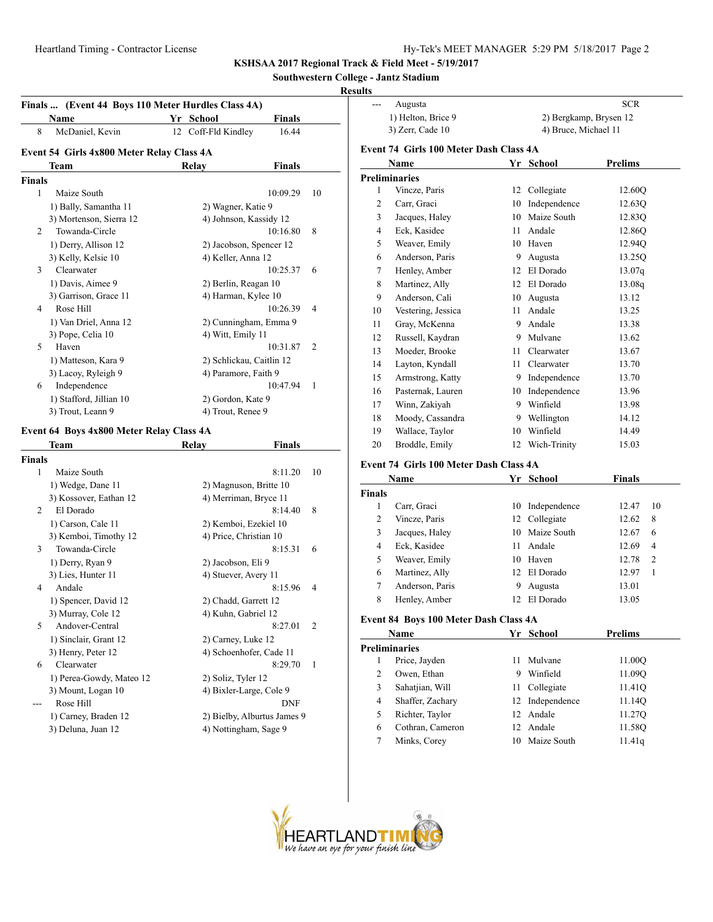**Southwestern College - Jantz Stadium**

## **Results**

| Finals  (Event 44 Boys 110 Meter Hurdles Class 4A) |                                           |           |                              |    |
|----------------------------------------------------|-------------------------------------------|-----------|------------------------------|----|
|                                                    | <b>Name</b>                               | Yr School | Finals                       |    |
| 8                                                  | McDaniel, Kevin                           |           | 16.44<br>12 Coff-Fld Kindley |    |
|                                                    | Event 54 Girls 4x800 Meter Relay Class 4A |           |                              |    |
|                                                    | Team                                      | Relay     | <b>Finals</b>                |    |
| <b>Finals</b>                                      |                                           |           |                              |    |
| 1                                                  | Maize South                               |           | 10:09.29                     | 10 |
|                                                    | 1) Bally, Samantha 11                     |           | 2) Wagner, Katie 9           |    |
|                                                    | 3) Mortenson, Sierra 12                   |           | 4) Johnson, Kassidy 12       |    |
| 2                                                  | Towanda-Circle                            |           | 10:16.80                     | 8  |
|                                                    | 1) Derry, Allison 12                      |           | 2) Jacobson, Spencer 12      |    |
|                                                    | 3) Kelly, Kelsie 10                       |           | 4) Keller, Anna 12           |    |
| 3                                                  | Clearwater                                |           | 10:25.37                     | 6  |
|                                                    | 1) Davis, Aimee 9                         |           | 2) Berlin, Reagan 10         |    |
|                                                    | 3) Garrison, Grace 11                     |           | 4) Harman, Kylee 10          |    |
| 4                                                  | Rose Hill                                 |           | 10:26.39                     | 4  |
|                                                    | 1) Van Driel, Anna 12                     |           | 2) Cunningham, Emma 9        |    |
|                                                    | 3) Pope, Celia 10                         |           | 4) Witt, Emily 11            |    |
| 5                                                  | Haven                                     |           | 10:31.87                     | 2  |
|                                                    | 1) Matteson, Kara 9                       |           | 2) Schlickau, Caitlin 12     |    |
|                                                    | 3) Lacoy, Ryleigh 9                       |           | 4) Paramore, Faith 9         |    |
| 6                                                  | Independence                              |           | 10:47.94                     | 1  |
|                                                    | 1) Stafford, Jillian 10                   |           | 2) Gordon, Kate 9            |    |
|                                                    | 3) Trout, Leann 9                         |           | 4) Trout, Renee 9            |    |
|                                                    | Event 64 Boys 4x800 Meter Relay Class 4A  |           |                              |    |
|                                                    | Team                                      | Relay     | <b>Finals</b>                |    |
| <b>Finals</b>                                      |                                           |           |                              |    |
| 1                                                  | Maize South                               |           | 8:11.20                      | 10 |
|                                                    | $1)$ Wedge Dane $11$                      |           | 2) Magnuson, Britte 10       |    |

|   | 1) Wedge, Dane 11        | 2) Magnuson, Britte 10      |
|---|--------------------------|-----------------------------|
|   | 3) Kossover, Eathan 12   | 4) Merriman, Bryce 11       |
| 2 | El Dorado                | 8<br>8:14.40                |
|   | 1) Carson, Cale 11       | 2) Kemboi, Ezekiel 10       |
|   | 3) Kemboi, Timothy 12    | 4) Price, Christian 10      |
| 3 | Towanda-Circle           | 8:15.31<br>6                |
|   | 1) Derry, Ryan 9         | 2) Jacobson, Eli 9          |
|   | 3) Lies, Hunter 11       | 4) Stuever, Avery 11        |
| 4 | Andale                   | 8:15.96<br>4                |
|   | 1) Spencer, David 12     | 2) Chadd, Garrett 12        |
|   | 3) Murray, Cole 12       | 4) Kuhn, Gabriel 12         |
| 5 | Andover-Central          | 8:27.01<br>2                |
|   | 1) Sinclair, Grant 12    | 2) Carney, Luke 12          |
|   | 3) Henry, Peter 12       | 4) Schoenhofer, Cade 11     |
| 6 | Clearwater               | 8:29.70<br>1                |
|   | 1) Perea-Gowdy, Mateo 12 | 2) Soliz, Tyler 12          |
|   | 3) Mount, Logan 10       | 4) Bixler-Large, Cole 9     |
|   | Rose Hill                | DNF                         |
|   | 1) Carney, Braden 12     | 2) Bielby, Alburtus James 9 |
|   | 3) Deluna, Juan 12       | 4) Nottingham, Sage 9       |
|   |                          |                             |

|                | Augusta                                |                        |                      | <b>SCR</b> |  |  |  |  |
|----------------|----------------------------------------|------------------------|----------------------|------------|--|--|--|--|
|                | 1) Helton, Brice 9                     | 2) Bergkamp, Brysen 12 |                      |            |  |  |  |  |
|                | 3) Zerr, Cade 10                       |                        | 4) Bruce, Michael 11 |            |  |  |  |  |
|                | Event 74 Girls 100 Meter Dash Class 4A |                        |                      |            |  |  |  |  |
|                | Name                                   | Yr                     | <b>School</b>        | Prelims    |  |  |  |  |
|                | <b>Preliminaries</b>                   |                        |                      |            |  |  |  |  |
| 1              | Vincze, Paris                          | 12                     | Collegiate           | 12.60Q     |  |  |  |  |
| 2              | Carr, Graci                            | 10                     | Independence         | 12.630     |  |  |  |  |
| 3              | Jacques, Haley                         | 10                     | Maize South          | 12.83Q     |  |  |  |  |
| $\overline{4}$ | Eck, Kasidee                           | 11                     | Andale               | 12.86Q     |  |  |  |  |
| 5              | Weaver, Emily                          | 10                     | Haven                | 12.94Q     |  |  |  |  |
| 6              | Anderson, Paris                        | 9                      | Augusta              | 13.25Q     |  |  |  |  |
| $\tau$         | Henley, Amber                          | 12                     | El Dorado            | 13.07q     |  |  |  |  |
| 8              | Martinez, Ally                         | 12                     | El Dorado            | 13.08q     |  |  |  |  |
| 9              | Anderson, Cali                         | 10                     | Augusta              | 13.12      |  |  |  |  |
| 10             | Vestering, Jessica                     | 11                     | Andale               | 13.25      |  |  |  |  |
| 11             | Gray, McKenna                          | 9                      | Andale               | 13.38      |  |  |  |  |
| 12             | Russell, Kaydran                       | 9                      | Mulvane              | 13.62      |  |  |  |  |
| 13             | Moeder, Brooke                         | 11                     | Clearwater           | 13.67      |  |  |  |  |
| 14             | Layton, Kyndall                        | 11                     | Clearwater           | 13.70      |  |  |  |  |
| 15             | Armstrong, Katty                       | 9                      | Independence         | 13.70      |  |  |  |  |
| 16             | Pasternak, Lauren                      | 10                     | Independence         | 13.96      |  |  |  |  |
| 17             | Winn, Zakiyah                          | 9                      | Winfield             | 13.98      |  |  |  |  |
| 18             | Moody, Cassandra                       | 9                      | Wellington           | 14.12      |  |  |  |  |
| 19             | Wallace, Taylor                        | 10                     | Winfield             | 14.49      |  |  |  |  |
| 20             | Broddle, Emily                         | 12                     | Wich-Trinity         | 15.03      |  |  |  |  |

## **Event 74 Girls 100 Meter Dash Class 4A**

| Name          |                 |     | Yr School       | <b>Finals</b> |                |
|---------------|-----------------|-----|-----------------|---------------|----------------|
| <b>Finals</b> |                 |     |                 |               |                |
|               | Carr, Graci     |     | 10 Independence | 12.47         | 10             |
| 2             | Vincze, Paris   |     | 12 Collegiate   | 12.62         | 8              |
| 3             | Jacques, Haley  |     | 10 Maize South  | 12.67         | 6              |
| 4             | Eck, Kasidee    | 11. | Andale          | 12.69         | $\overline{4}$ |
| 5             | Weaver, Emily   | 10  | Haven           | 12.78         | $\overline{2}$ |
| 6             | Martinez, Ally  |     | 12 El Dorado    | 12.97         | 1              |
| 7             | Anderson, Paris | 9   | Augusta         | 13.01         |                |
| 8             | Henley, Amber   | 12  | El Dorado       | 13.05         |                |

## **Event 84 Boys 100 Meter Dash Class 4A**

|   | Name                 |     | Yr School       | <b>Prelims</b>     |  |
|---|----------------------|-----|-----------------|--------------------|--|
|   | <b>Preliminaries</b> |     |                 |                    |  |
|   | Price, Jayden        | 11  | Mulvane         | 11.00O             |  |
| 2 | Owen, Ethan          | 9   | Winfield        | 11.09O             |  |
| 3 | Sahatjian, Will      | 11. | Collegiate      | 11.41 <sub>O</sub> |  |
| 4 | Shaffer, Zachary     |     | 12 Independence | 11.14Q             |  |
| 5 | Richter, Taylor      |     | 12 Andale       | 11.270             |  |
| 6 | Cothran, Cameron     |     | 12 Andale       | 11.58Q             |  |
|   | Minks, Corey         |     | 10 Maize South  | 11.41q             |  |
|   |                      |     |                 |                    |  |

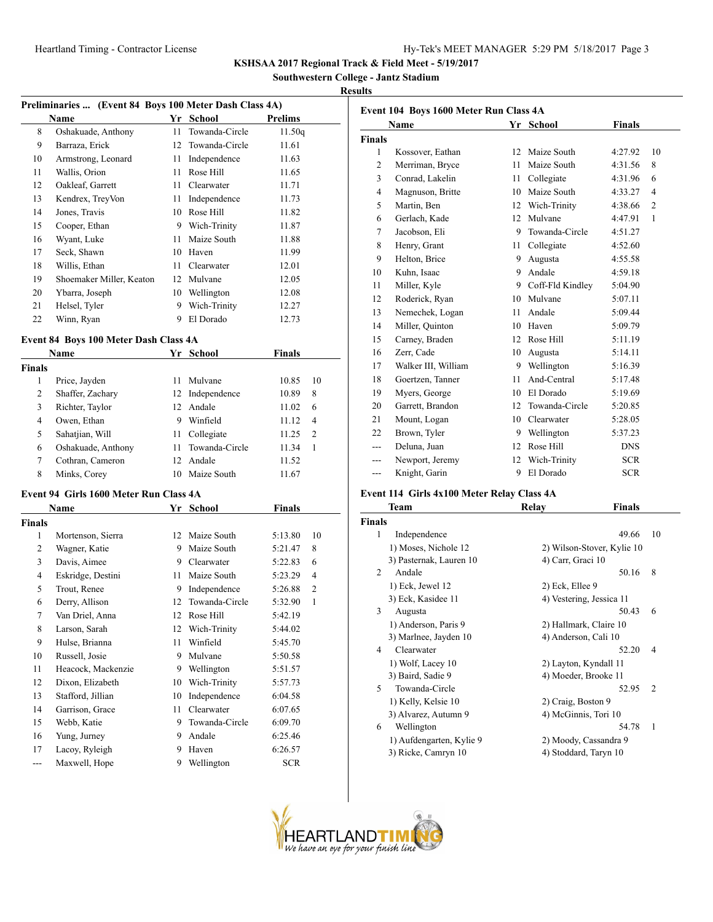**Southwestern College - Jantz Stadium**

## **Results**

| Preliminaries  (Event 84 Boys 100 Meter Dash Class 4A) |                          |    |                   |         |  |
|--------------------------------------------------------|--------------------------|----|-------------------|---------|--|
|                                                        | Name                     | Yr | School            | Prelims |  |
| 8                                                      | Oshakuade, Anthony       | 11 | Towanda-Circle    | 11.50q  |  |
| 9                                                      | Barraza, Erick           |    | 12 Towanda-Circle | 11.61   |  |
| 10                                                     | Armstrong, Leonard       | 11 | Independence      | 11.63   |  |
| 11                                                     | Wallis, Orion            | 11 | Rose Hill         | 11.65   |  |
| 12                                                     | Oakleaf, Garrett         | 11 | Clearwater        | 11.71   |  |
| 13                                                     | Kendrex, TreyVon         | 11 | Independence      | 11.73   |  |
| 14                                                     | Jones, Travis            | 10 | Rose Hill         | 11.82   |  |
| 15                                                     | Cooper, Ethan            | 9  | Wich-Trinity      | 11.87   |  |
| 16                                                     | Wyant, Luke              | 11 | Maize South       | 11.88   |  |
| 17                                                     | Seck, Shawn              | 10 | Haven             | 11.99   |  |
| 18                                                     | Willis, Ethan            | 11 | Clearwater        | 12.01   |  |
| 19                                                     | Shoemaker Miller, Keaton | 12 | Mulvane           | 12.05   |  |
| 20                                                     | Ybarra, Joseph           | 10 | Wellington        | 12.08   |  |
| 21                                                     | Helsel, Tyler            | 9  | Wich-Trinity      | 12.27   |  |
| 22                                                     | Winn, Ryan               | 9  | El Dorado         | 12.73   |  |

## **Event 84 Boys 100 Meter Dash Class 4A**

|        | <b>Name</b>        |     | Yr School       | <b>Finals</b> |    |  |
|--------|--------------------|-----|-----------------|---------------|----|--|
| Finals |                    |     |                 |               |    |  |
| 1      | Price, Jayden      | 11  | Mulvane         | 10.85         | 10 |  |
| 2      | Shaffer, Zachary   |     | 12 Independence | 10.89         | 8  |  |
| 3      | Richter, Taylor    | 12  | Andale          | 11.02         | 6  |  |
| 4      | Owen, Ethan        | 9   | Winfield        | 11.12         | 4  |  |
| 5      | Sahatjian, Will    | 11  | Collegiate      | 11.25         | 2  |  |
| 6      | Oshakuade, Anthony | 11. | Towanda-Circle  | 11.34         | 1  |  |
| 7      | Cothran, Cameron   | 12. | Andale          | 11.52         |    |  |
| 8      | Minks, Corey       | 10  | Maize South     | 11.67         |    |  |
|        |                    |     |                 |               |    |  |

## **Event 94 Girls 1600 Meter Run Class 4A**

|                | Name               | Yr | School         | Finals     |    |
|----------------|--------------------|----|----------------|------------|----|
| <b>Finals</b>  |                    |    |                |            |    |
| 1              | Mortenson, Sierra  | 12 | Maize South    | 5:13.80    | 10 |
| 2              | Wagner, Katie      | 9  | Maize South    | 5:21.47    | 8  |
| 3              | Davis, Aimee       | 9  | Clearwater     | 5:22.83    | 6  |
| $\overline{4}$ | Eskridge, Destini  | 11 | Maize South    | 5:23.29    | 4  |
| 5              | Trout, Renee       | 9  | Independence   | 5:26.88    | 2  |
| 6              | Derry, Allison     | 12 | Towanda-Circle | 5:32.90    | 1  |
| 7              | Van Driel, Anna    | 12 | Rose Hill      | 5:42.19    |    |
| 8              | Larson, Sarah      | 12 | Wich-Trinity   | 5:44.02    |    |
| 9              | Hulse, Brianna     | 11 | Winfield       | 5:45.70    |    |
| 10             | Russell, Josie     | 9  | Mulvane        | 5:50.58    |    |
| 11             | Heacock, Mackenzie | 9  | Wellington     | 5:51.57    |    |
| 12             | Dixon, Elizabeth   | 10 | Wich-Trinity   | 5:57.73    |    |
| 13             | Stafford, Jillian  | 10 | Independence   | 6:04.58    |    |
| 14             | Garrison, Grace    | 11 | Clearwater     | 6:07.65    |    |
| 15             | Webb, Katie        | 9  | Towanda-Circle | 6:09.70    |    |
| 16             | Yung, Jurney       | 9  | Andale         | 6:25.46    |    |
| 17             | Lacoy, Ryleigh     | 9  | Haven          | 6:26.57    |    |
| ---            | Maxwell, Hope      | 9  | Wellington     | <b>SCR</b> |    |

| Event 104 Boys 1600 Meter Run Class 4A |                     |    |                  |               |                |  |
|----------------------------------------|---------------------|----|------------------|---------------|----------------|--|
|                                        | Name                | Yr | School           | <b>Finals</b> |                |  |
| <b>Finals</b>                          |                     |    |                  |               |                |  |
| 1                                      | Kossover, Eathan    | 12 | Maize South      | 4:27.92       | 10             |  |
| $\overline{c}$                         | Merriman, Bryce     | 11 | Maize South      | 4:31.56       | 8              |  |
| 3                                      | Conrad, Lakelin     | 11 | Collegiate       | 4:31.96       | 6              |  |
| $\overline{4}$                         | Magnuson, Britte    | 10 | Maize South      | 4:33.27       | $\overline{4}$ |  |
| 5                                      | Martin, Ben         | 12 | Wich-Trinity     | 4:38.66       | $\overline{2}$ |  |
| 6                                      | Gerlach, Kade       | 12 | Mulvane          | 4:47.91       | $\mathbf{1}$   |  |
| $\tau$                                 | Jacobson, Eli       | 9  | Towanda-Circle   | 4:51.27       |                |  |
| 8                                      | Henry, Grant        | 11 | Collegiate       | 4:52.60       |                |  |
| 9                                      | Helton, Brice       | 9  | Augusta          | 4:55.58       |                |  |
| 10                                     | Kuhn, Isaac         | 9  | Andale           | 4:59.18       |                |  |
| 11                                     | Miller, Kyle        | 9  | Coff-Fld Kindley | 5:04.90       |                |  |
| 12                                     | Roderick, Ryan      | 10 | Mulvane          | 5:07.11       |                |  |
| 13                                     | Nemechek, Logan     | 11 | Andale           | 5:09.44       |                |  |
| 14                                     | Miller, Quinton     | 10 | Haven            | 5:09.79       |                |  |
| 15                                     | Carney, Braden      | 12 | Rose Hill        | 5:11.19       |                |  |
| 16                                     | Zerr, Cade          | 10 | Augusta          | 5:14.11       |                |  |
| 17                                     | Walker III, William | 9  | Wellington       | 5:16.39       |                |  |
| 18                                     | Goertzen, Tanner    | 11 | And-Central      | 5:17.48       |                |  |
| 19                                     | Myers, George       | 10 | El Dorado        | 5:19.69       |                |  |
| 20                                     | Garrett, Brandon    | 12 | Towanda-Circle   | 5:20.85       |                |  |
| 21                                     | Mount, Logan        | 10 | Clearwater       | 5:28.05       |                |  |
| 22                                     | Brown, Tyler        | 9  | Wellington       | 5:37.23       |                |  |
| ---                                    | Deluna, Juan        | 12 | Rose Hill        | <b>DNS</b>    |                |  |
|                                        | Newport, Jeremy     | 12 | Wich-Trinity     | <b>SCR</b>    |                |  |
| ---                                    | Knight, Garin       | 9  | El Dorado        | <b>SCR</b>    |                |  |

## **Event 114 Girls 4x100 Meter Relay Class 4A**

|                | Team                     | Relay                 | <b>Finals</b>              |                |
|----------------|--------------------------|-----------------------|----------------------------|----------------|
| Finals         |                          |                       |                            |                |
| 1              | Independence             |                       | 49.66                      | 10             |
|                | 1) Moses, Nichole 12     |                       | 2) Wilson-Stover, Kylie 10 |                |
|                | 3) Pasternak, Lauren 10  | 4) Carr, Graci 10     |                            |                |
| $\overline{c}$ | Andale                   |                       | 50.16                      | 8              |
|                | 1) Eck, Jewel 12         | 2) Eck, Ellee 9       |                            |                |
|                | 3) Eck, Kasidee 11       |                       | 4) Vestering, Jessica 11   |                |
| 3              | Augusta                  |                       | 50.43                      | 6              |
|                | 1) Anderson, Paris 9     |                       | 2) Hallmark, Claire 10     |                |
|                | 3) Marlnee, Jayden 10    | 4) Anderson, Cali 10  |                            |                |
| 4              | Clearwater               |                       | 52.20                      | 4              |
|                | 1) Wolf, Lacey 10        | 2) Layton, Kyndall 11 |                            |                |
|                | 3) Baird, Sadie 9        | 4) Moeder, Brooke 11  |                            |                |
| 5              | Towanda-Circle           |                       | 52.95                      | $\overline{2}$ |
|                | 1) Kelly, Kelsie 10      | 2) Craig, Boston 9    |                            |                |
|                | 3) Alvarez, Autumn 9     | 4) McGinnis, Tori 10  |                            |                |
| 6              | Wellington               |                       | 54.78                      | 1              |
|                | 1) Aufdengarten, Kylie 9 |                       | 2) Moody, Cassandra 9      |                |
|                | 3) Ricke, Camryn 10      | 4) Stoddard, Taryn 10 |                            |                |
|                |                          |                       |                            |                |

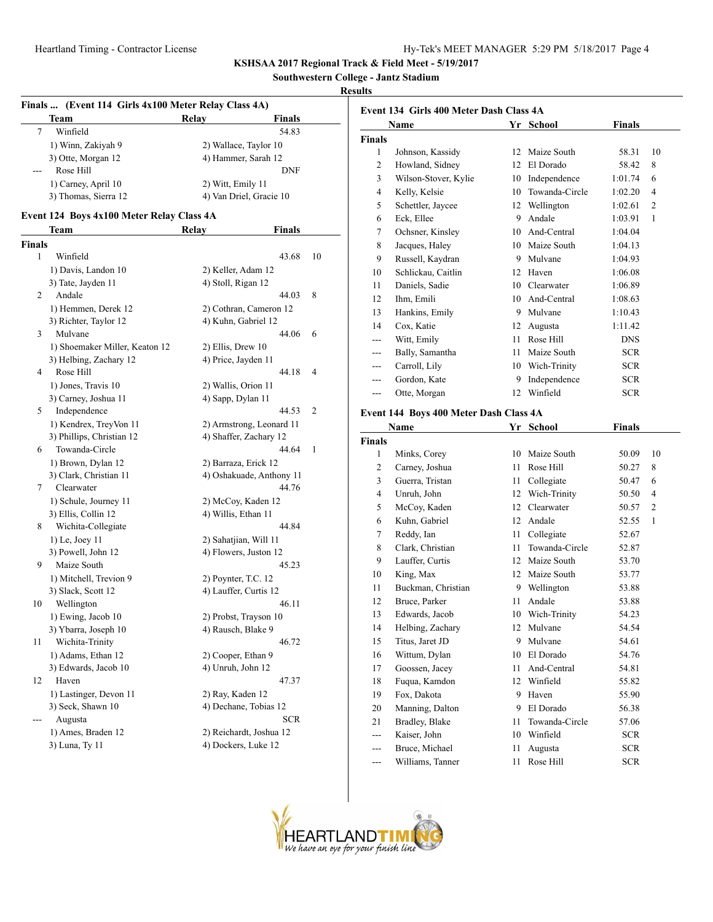## **Southwestern College - Jantz Stadium**

## **Results**

|                    | Finals  (Event 114 Girls 4x100 Meter Relay Class 4A)<br>Team | Relay<br>Finals                               |    |
|--------------------|--------------------------------------------------------------|-----------------------------------------------|----|
| 7                  | Winfield                                                     | 54.83                                         |    |
|                    | 1) Winn, Zakiyah 9                                           | 2) Wallace, Taylor 10                         |    |
|                    | 3) Otte, Morgan 12                                           | 4) Hammer, Sarah 12                           |    |
|                    | Rose Hill                                                    | DNF                                           |    |
|                    | 1) Carney, April 10                                          | 2) Witt, Emily 11                             |    |
|                    | 3) Thomas, Sierra 12                                         | 4) Van Driel, Gracie 10                       |    |
|                    |                                                              |                                               |    |
|                    | Event 124 Boys 4x100 Meter Relay Class 4A                    |                                               |    |
|                    | Team                                                         | <b>Finals</b><br>Relay                        |    |
| <b>Finals</b><br>1 | Winfield                                                     | 43.68                                         | 10 |
|                    |                                                              |                                               |    |
|                    | 1) Davis, Landon 10                                          | 2) Keller, Adam 12                            |    |
| 2                  | 3) Tate, Jayden 11<br>Andale                                 | 4) Stoll, Rigan 12<br>44.03                   | 8  |
|                    |                                                              |                                               |    |
|                    | 1) Hemmen, Derek 12                                          | 2) Cothran, Cameron 12<br>4) Kuhn, Gabriel 12 |    |
|                    | 3) Richter, Taylor 12<br>Mulvane                             | 44.06                                         | 6  |
| 3                  | 1) Shoemaker Miller, Keaton 12                               |                                               |    |
|                    | 3) Helbing, Zachary 12                                       | 2) Ellis, Drew 10<br>4) Price, Jayden 11      |    |
| 4                  | Rose Hill                                                    | 44.18                                         | 4  |
|                    |                                                              | 2) Wallis, Orion 11                           |    |
|                    | 1) Jones, Travis 10<br>3) Carney, Joshua 11                  | 4) Sapp, Dylan 11                             |    |
| 5                  | Independence                                                 | 44.53                                         | 2  |
|                    | 1) Kendrex, TreyVon 11                                       | 2) Armstrong, Leonard 11                      |    |
|                    | 3) Phillips, Christian 12                                    | 4) Shaffer, Zachary 12                        |    |
| 6                  | Towanda-Circle                                               | 44.64                                         | 1  |
|                    | 1) Brown, Dylan 12                                           | 2) Barraza, Erick 12                          |    |
|                    | 3) Clark, Christian 11                                       | 4) Oshakuade, Anthony 11                      |    |
| 7                  | Clearwater                                                   | 44.76                                         |    |
|                    | 1) Schule, Journey 11                                        | 2) McCoy, Kaden 12                            |    |
|                    | 3) Ellis, Collin 12                                          | 4) Willis, Ethan 11                           |    |
| 8                  | Wichita-Collegiate                                           | 44.84                                         |    |
|                    | 1) Le, Joey 11                                               | 2) Sahatjian, Will 11                         |    |
|                    | 3) Powell, John 12                                           | 4) Flowers, Juston 12                         |    |
| 9                  | Maize South                                                  | 45.23                                         |    |
|                    | 1) Mitchell, Trevion 9                                       | 2) Poynter, T.C. 12                           |    |
|                    | 3) Slack, Scott 12                                           | 4) Lauffer, Curtis 12                         |    |
| 10                 | Wellington                                                   | 46.11                                         |    |
|                    | 1) Ewing, Jacob 10                                           | 2) Probst, Trayson 10                         |    |
|                    | 3) Ybarra, Joseph 10                                         | 4) Rausch, Blake 9                            |    |
| 11                 | Wichita-Trinity                                              | 46.72                                         |    |
|                    | 1) Adams, Ethan 12                                           | 2) Cooper, Ethan 9                            |    |
|                    | 3) Edwards, Jacob 10                                         | 4) Unruh, John 12                             |    |
| 12                 | Haven                                                        | 47.37                                         |    |
|                    | 1) Lastinger, Devon 11                                       | 2) Ray, Kaden 12                              |    |
|                    | 3) Seck, Shawn 10                                            | 4) Dechane, Tobias 12                         |    |
| ---                | Augusta                                                      | <b>SCR</b>                                    |    |
|                    | 1) Ames, Braden 12                                           | 2) Reichardt, Joshua 12                       |    |
|                    | 3) Luna, Ty 11                                               | 4) Dockers, Luke 12                           |    |
|                    |                                                              |                                               |    |

| Event 134 Girls 400 Meter Dash Class 4A |                                                       |    |                   |               |    |  |
|-----------------------------------------|-------------------------------------------------------|----|-------------------|---------------|----|--|
|                                         | Name                                                  |    | Yr School         | Finals        |    |  |
| Finals                                  |                                                       |    |                   |               |    |  |
| 1                                       | Johnson, Kassidy                                      |    | 12 Maize South    | 58.31         | 10 |  |
| 2                                       | Howland, Sidney                                       |    | 12 El Dorado      | 58.42         | 8  |  |
| 3                                       | Wilson-Stover, Kylie                                  |    | 10 Independence   | 1:01.74       | 6  |  |
| $\overline{4}$                          | Kelly, Kelsie                                         |    | 10 Towanda-Circle | 1:02.20       | 4  |  |
| 5                                       | Schettler, Jaycee                                     |    | 12 Wellington     | 1:02.61       | 2  |  |
| 6                                       | Eck, Ellee                                            |    | 9 Andale          | 1:03.91       | 1  |  |
| 7                                       | Ochsner, Kinsley                                      |    | 10 And-Central    | 1:04.04       |    |  |
| 8                                       | Jacques, Haley                                        |    | 10 Maize South    | 1:04.13       |    |  |
| 9                                       | Russell, Kaydran                                      |    | 9 Mulvane         | 1:04.93       |    |  |
| 10                                      | Schlickau, Caitlin                                    |    | 12 Haven          | 1:06.08       |    |  |
| 11                                      | Daniels, Sadie                                        |    | 10 Clearwater     | 1:06.89       |    |  |
| 12                                      | Ihm, Emili                                            |    | 10 And-Central    | 1:08.63       |    |  |
| 13                                      | Hankins, Emily                                        |    | 9 Mulvane         | 1:10.43       |    |  |
| 14                                      | Cox, Katie                                            |    | 12 Augusta        | 1:11.42       |    |  |
| $---$                                   | Witt, Emily                                           |    | 11 Rose Hill      | <b>DNS</b>    |    |  |
| ---                                     | Bally, Samantha                                       | 11 | Maize South       | <b>SCR</b>    |    |  |
| ---                                     | Carroll, Lily                                         |    | 10 Wich-Trinity   | <b>SCR</b>    |    |  |
| ---                                     | Gordon, Kate                                          |    | 9 Independence    | <b>SCR</b>    |    |  |
| ---                                     | Otte, Morgan                                          |    | 12 Winfield       | <b>SCR</b>    |    |  |
|                                         |                                                       |    |                   |               |    |  |
|                                         | Event 144 Boys 400 Meter Dash Class 4A<br><b>Name</b> |    |                   |               |    |  |
| <b>Finals</b>                           |                                                       |    | Yr School         | <b>Finals</b> |    |  |
| 1                                       | Minks, Corey                                          |    | 10 Maize South    | 50.09         | 10 |  |
| 2                                       | Carney, Joshua                                        | 11 | Rose Hill         | 50.27         | 8  |  |
| 3                                       | Guerra, Tristan                                       | 11 | Collegiate        | 50.47         | 6  |  |
| $\overline{4}$                          | Unruh, John                                           |    | 12 Wich-Trinity   | 50.50         | 4  |  |
| 5                                       | McCoy, Kaden                                          |    | 12 Clearwater     | 50.57         | 2  |  |
| 6                                       | Kuhn, Gabriel                                         |    | 12 Andale         | 52.55         | 1  |  |
| 7                                       | Reddy, Ian                                            | 11 | Collegiate        | 52.67         |    |  |
| 8                                       | Clark, Christian                                      | 11 | Towanda-Circle    | 52.87         |    |  |
| 9                                       | Lauffer, Curtis                                       |    | 12 Maize South    | 53.70         |    |  |
| 10                                      | King, Max                                             |    | 12 Maize South    | 53.77         |    |  |
| 11                                      | Buckman, Christian                                    |    | 9 Wellington      | 53.88         |    |  |
| 12                                      | Bruce, Parker                                         | 11 | Andale            | 53.88         |    |  |
| 13                                      | Edwards, Jacob                                        | 10 | Wich-Trinity      | 54.23         |    |  |
| 14                                      | Helbing, Zachary                                      | 12 | Mulvane           | 54.54         |    |  |
| 15                                      | Titus, Jaret JD                                       | 9  | Mulvane           | 54.61         |    |  |
| 16                                      | Wittum, Dylan                                         | 10 | El Dorado         | 54.76         |    |  |
| 17                                      | Goossen, Jacey                                        | 11 | And-Central       | 54.81         |    |  |
| 18                                      | Fuqua, Kamdon                                         | 12 | Winfield          | 55.82         |    |  |
| 19                                      | Fox, Dakota                                           | 9. | Haven             | 55.90         |    |  |
| 20                                      | Manning, Dalton                                       | 9  | El Dorado         | 56.38         |    |  |
| 21                                      | Bradley, Blake                                        | 11 | Towanda-Circle    | 57.06         |    |  |
| ---                                     | Kaiser, John                                          | 10 | Winfield          | <b>SCR</b>    |    |  |
| ---                                     | Bruce, Michael                                        | 11 | Augusta           | <b>SCR</b>    |    |  |

Williams, Tanner 11 Rose Hill SCR

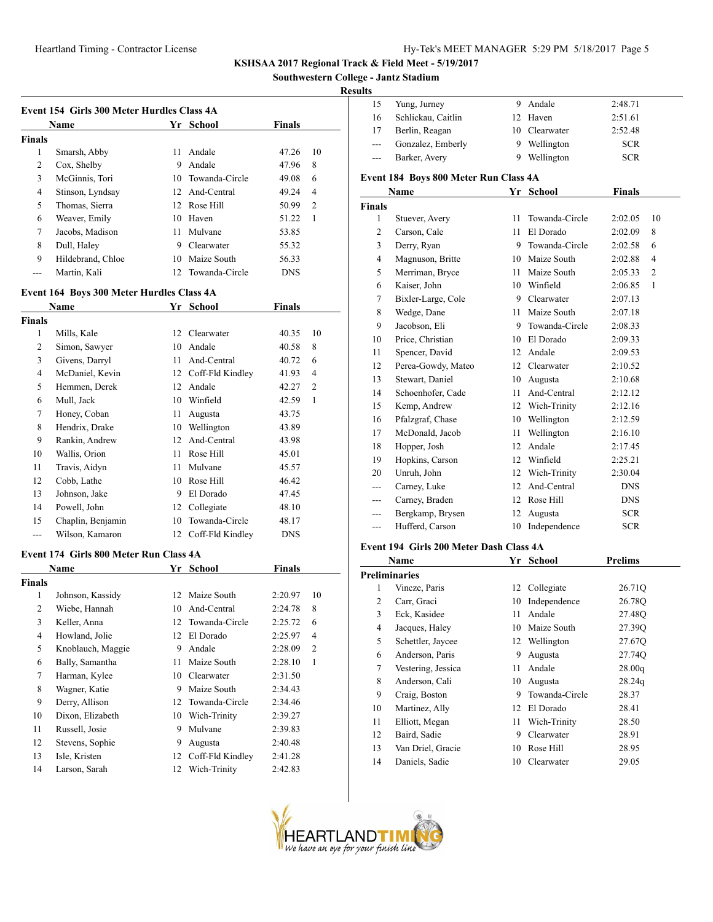**Southwestern College - Jantz Stadium**

## **Results**

|               | Name              | Yr. | School            | <b>Finals</b> |                |
|---------------|-------------------|-----|-------------------|---------------|----------------|
| <b>Finals</b> |                   |     |                   |               |                |
| 1             | Smarsh, Abby      | 11  | Andale            | 47.26         | 10             |
| 2             | Cox, Shelby       | 9   | Andale            | 47.96         | 8              |
| 3             | McGinnis, Tori    |     | 10 Towanda-Circle | 49.08         | 6              |
| 4             | Stinson, Lyndsay  |     | 12 And-Central    | 49.24         | 4              |
| 5             | Thomas, Sierra    |     | 12 Rose Hill      | 50.99         | $\mathfrak{D}$ |
| 6             | Weaver, Emily     | 10  | Haven             | 51.22         | 1              |
| 7             | Jacobs, Madison   | 11  | Mulvane           | 53.85         |                |
| 8             | Dull, Haley       | 9   | Clearwater        | 55.32         |                |
| 9             | Hildebrand, Chloe | 10  | Maize South       | 56.33         |                |
|               | Martin, Kali      |     | 12 Towanda-Circle | <b>DNS</b>    |                |
|               |                   |     |                   |               |                |

## **Event 164 Boys 300 Meter Hurdles Class 4A**

|        | Name              | Yr | School           | Finals     |                |
|--------|-------------------|----|------------------|------------|----------------|
| Finals |                   |    |                  |            |                |
| 1      | Mills, Kale       | 12 | Clearwater       | 40.35      | 10             |
| 2      | Simon, Sawyer     | 10 | Andale           | 40.58      | 8              |
| 3      | Givens, Darryl    | 11 | And-Central      | 40.72      | 6              |
| 4      | McDaniel, Kevin   | 12 | Coff-Fld Kindley | 41.93      | 4              |
| 5      | Hemmen, Derek     | 12 | Andale           | 42.27      | $\overline{c}$ |
| 6      | Mull, Jack        | 10 | Winfield         | 42.59      | 1              |
| 7      | Honey, Coban      | 11 | Augusta          | 43.75      |                |
| 8      | Hendrix, Drake    | 10 | Wellington       | 43.89      |                |
| 9      | Rankin, Andrew    | 12 | And-Central      | 43.98      |                |
| 10     | Wallis, Orion     | 11 | Rose Hill        | 45.01      |                |
| 11     | Travis, Aidyn     | 11 | Mulvane          | 45.57      |                |
| 12     | Cobb, Lathe       | 10 | Rose Hill        | 46.42      |                |
| 13     | Johnson, Jake     | 9  | El Dorado        | 47.45      |                |
| 14     | Powell, John      | 12 | Collegiate       | 48.10      |                |
| 15     | Chaplin, Benjamin | 10 | Towanda-Circle   | 48.17      |                |
| ---    | Wilson, Kamaron   | 12 | Coff-Fld Kindley | <b>DNS</b> |                |

#### **Event 174 Girls 800 Meter Run Class 4A**

|        | Name              | Yr | <b>School</b>     | <b>Finals</b> |                |
|--------|-------------------|----|-------------------|---------------|----------------|
| Finals |                   |    |                   |               |                |
| 1      | Johnson, Kassidy  | 12 | Maize South       | 2:20.97       | 10             |
| 2      | Wiebe, Hannah     | 10 | And-Central       | 2:24.78       | 8              |
| 3      | Keller, Anna      |    | 12 Towanda-Circle | 2:25.72       | 6              |
| 4      | Howland, Jolie    | 12 | El Dorado         | 2:25.97       | $\overline{4}$ |
| 5      | Knoblauch, Maggie | 9  | Andale            | 2:28.09       | $\overline{c}$ |
| 6      | Bally, Samantha   | 11 | Maize South       | 2:28.10       | 1              |
| 7      | Harman, Kylee     | 10 | Clearwater        | 2:31.50       |                |
| 8      | Wagner, Katie     | 9  | Maize South       | 2:34.43       |                |
| 9      | Derry, Allison    |    | 12 Towanda-Circle | 2:34.46       |                |
| 10     | Dixon, Elizabeth  | 10 | Wich-Trinity      | 2:39.27       |                |
| 11     | Russell, Josie    | 9  | Mulvane           | 2:39.83       |                |
| 12     | Stevens, Sophie   | 9  | Augusta           | 2:40.48       |                |
| 13     | Isle, Kristen     | 12 | Coff-Fld Kindley  | 2:41.28       |                |
| 14     | Larson, Sarah     | 12 | Wich-Trinity      | 2:42.83       |                |

| uno           |                                       |    |                |               |                |
|---------------|---------------------------------------|----|----------------|---------------|----------------|
| 15            | Yung, Jurney                          | 9  | Andale         | 2:48.71       |                |
| 16            | Schlickau, Caitlin                    | 12 | Haven          | 2:51.61       |                |
| 17            | Berlin, Reagan                        | 10 | Clearwater     | 2:52.48       |                |
|               | Gonzalez, Emberly                     | 9  | Wellington     | <b>SCR</b>    |                |
| ---           | Barker, Avery                         | 9  | Wellington     | <b>SCR</b>    |                |
|               | Event 184 Boys 800 Meter Run Class 4A |    |                |               |                |
|               | Name                                  | Yr | School         | <b>Finals</b> |                |
| <b>Finals</b> |                                       |    |                |               |                |
| 1             | Stuever, Avery                        | 11 | Towanda-Circle | 2:02.05       | 10             |
| 2             | Carson, Cale                          | 11 | El Dorado      | 2:02.09       | 8              |
| 3             | Derry, Ryan                           | 9  | Towanda-Circle | 2:02.58       | 6              |
| 4             | Magnuson, Britte                      |    | 10 Maize South | 2:02.88       | $\overline{4}$ |
| 5             | Merriman, Bryce                       | 11 | Maize South    | 2:05.33       | $\overline{2}$ |
| 6             | Kaiser, John                          | 10 | Winfield       | 2:06.85       | $\mathbf{1}$   |
| 7             | Bixler-Large, Cole                    | 9  | Clearwater     | 2:07.13       |                |
| 8             | Wedge, Dane                           | 11 | Maize South    | 2:07.18       |                |
| 9             | Jacobson, Eli                         | 9  | Towanda-Circle | 2:08.33       |                |
| 10            | Price, Christian                      | 10 | El Dorado      | 2:09.33       |                |
| 11            | Spencer, David                        | 12 | Andale         | 2:09.53       |                |
| 12            | Perea-Gowdy, Mateo                    | 12 | Clearwater     | 2:10.52       |                |
| 13            | Stewart, Daniel                       | 10 | Augusta        | 2:10.68       |                |
| 14            | Schoenhofer, Cade                     | 11 | And-Central    | 2:12.12       |                |
| 15            | Kemp, Andrew                          | 12 | Wich-Trinity   | 2:12.16       |                |
| 16            | Pfalzgraf, Chase                      | 10 | Wellington     | 2:12.59       |                |
| 17            | McDonald, Jacob                       | 11 | Wellington     | 2:16.10       |                |
| 18            | Hopper, Josh                          | 12 | Andale         | 2:17.45       |                |
| 19            | Hopkins, Carson                       | 12 | Winfield       | 2:25.21       |                |
| 20            | Unruh, John                           | 12 | Wich-Trinity   | 2:30.04       |                |
| ---           | Carney, Luke                          | 12 | And-Central    | <b>DNS</b>    |                |
|               | Carney, Braden                        | 12 | Rose Hill      | <b>DNS</b>    |                |
|               | Bergkamp, Brysen                      | 12 | Augusta        | <b>SCR</b>    |                |
| ---           | Hufferd, Carson                       | 10 | Independence   | <b>SCR</b>    |                |
|               |                                       |    |                |               |                |

## **Event 194 Girls 200 Meter Dash Class 4A**

|                | Name                 | Yr | <b>School</b>  | <b>Prelims</b> |
|----------------|----------------------|----|----------------|----------------|
|                | <b>Preliminaries</b> |    |                |                |
| 1              | Vincze, Paris        | 12 | Collegiate     | 26.71Q         |
| 2              | Carr, Graci          | 10 | Independence   | 26.78Q         |
| 3              | Eck, Kasidee         | 11 | Andale         | 27.48Q         |
| $\overline{4}$ | Jacques, Haley       | 10 | Maize South    | 27.390         |
| 5              | Schettler, Jaycee    | 12 | Wellington     | 27.67Q         |
| 6              | Anderson, Paris      | 9  | Augusta        | 27.74Q         |
| 7              | Vestering, Jessica   | 11 | Andale         | 28.00q         |
| 8              | Anderson, Cali       | 10 | Augusta        | 28.24q         |
| 9              | Craig, Boston        | 9  | Towanda-Circle | 28.37          |
| 10             | Martinez, Ally       | 12 | El Dorado      | 28.41          |
| 11             | Elliott, Megan       | 11 | Wich-Trinity   | 28.50          |
| 12             | Baird, Sadie         | 9  | Clearwater     | 28.91          |
| 13             | Van Driel, Gracie    | 10 | Rose Hill      | 28.95          |
| 14             | Daniels, Sadie       | 10 | Clearwater     | 29.05          |

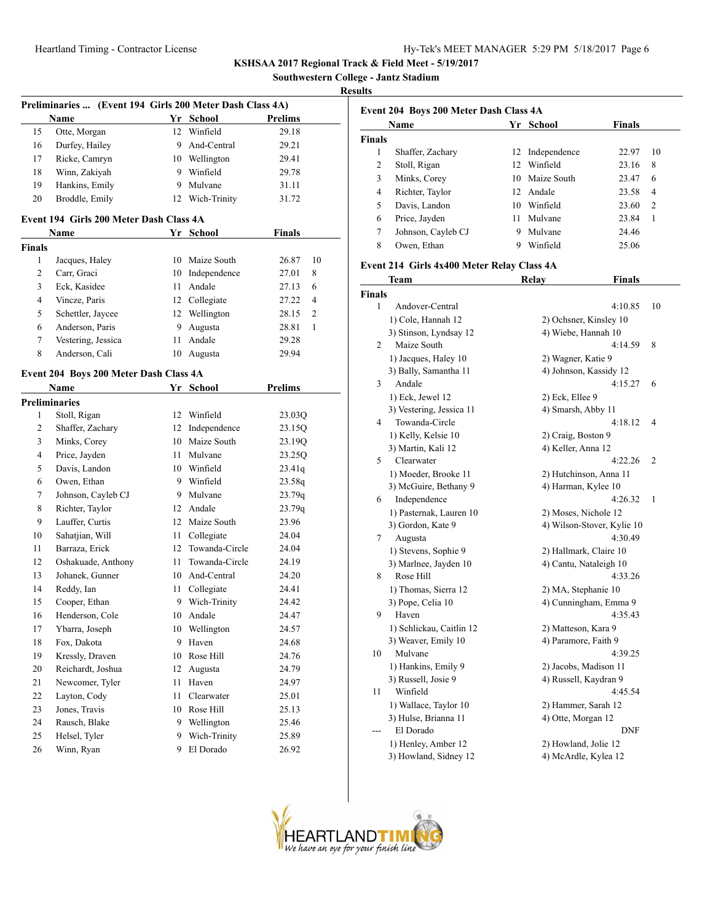**Southwestern College - Jantz Stadium**

## **Results**

| Preliminaries  (Event 194 Girls 200 Meter Dash Class 4A) |                                         |      |                 |                       |  |  |
|----------------------------------------------------------|-----------------------------------------|------|-----------------|-----------------------|--|--|
|                                                          | <b>Name</b>                             |      | Yr School       | Prelims               |  |  |
| 15                                                       | Otte, Morgan                            |      | 12 Winfield     | 29.18                 |  |  |
| 16                                                       | Durfey, Hailey                          | 9.   | And-Central     | 29.21                 |  |  |
| 17                                                       | Ricke, Camryn                           |      | 10 Wellington   | 29.41                 |  |  |
| 18                                                       | Winn, Zakiyah                           |      | 9 Winfield      | 29.78                 |  |  |
| 19                                                       | Hankins, Emily                          | 9    | Mulvane         | 31.11                 |  |  |
| 20                                                       | Broddle, Emily                          |      | 12 Wich-Trinity | 31.72                 |  |  |
|                                                          | Event 194 Girls 200 Meter Dash Class 4A |      |                 |                       |  |  |
|                                                          |                                         |      |                 |                       |  |  |
|                                                          | Name                                    |      | Yr School       | <b>Finals</b>         |  |  |
| <b>Finals</b>                                            |                                         |      |                 |                       |  |  |
| 1                                                        | Jacques, Haley                          |      | 10 Maize South  | 26.87<br>10           |  |  |
| 2                                                        | Carr, Graci                             |      | 10 Independence | 8<br>27.01            |  |  |
| 3                                                        | Eck, Kasidee                            |      | 11 Andale       | 6<br>27.13            |  |  |
| 4                                                        | Vincze, Paris                           |      | 12 Collegiate   | 4<br>27.22            |  |  |
| 5                                                        | Schettler, Jaycee                       |      | 12 Wellington   | 2<br>28.15            |  |  |
| 6                                                        | Anderson, Paris                         | 9.   | Augusta         | $\mathbf{1}$<br>28.81 |  |  |
| $\tau$                                                   | Vestering, Jessica                      | 11   | Andale          | 29.28                 |  |  |
| 8                                                        | Anderson, Cali                          | 10   | Augusta         | 29.94                 |  |  |
|                                                          | Event 204 Boys 200 Meter Dash Class 4A  |      |                 |                       |  |  |
|                                                          | Name                                    |      | Yr School       | <b>Prelims</b>        |  |  |
|                                                          | <b>Preliminaries</b>                    |      |                 |                       |  |  |
| 1                                                        | Stoll, Rigan                            |      | 12 Winfield     | 23.03Q                |  |  |
| 2                                                        | Shaffer, Zachary                        |      | 12 Independence | 23.15Q                |  |  |
| 3                                                        | Minks, Corey                            |      | 10 Maize South  | 23.19Q                |  |  |
| 4                                                        | Price, Jayden                           | 11 - | Mulvane         | 23.25Q                |  |  |
| 5                                                        | Davis, Landon                           |      | 10 Winfield     | 23.41q                |  |  |
| 6                                                        | Owen, Ethan                             |      | 9 Winfield      | 23.58q                |  |  |
| 7                                                        | Johnson, Cayleb CJ                      | 9.   | Mulvane         | 23.79q                |  |  |
| 8                                                        | Richter, Taylor                         | 12   | Andale          | 23.79q                |  |  |
| 9                                                        | Lauffer, Curtis                         | 12   | Maize South     | 23.96                 |  |  |
| 10                                                       | Sahatjian, Will                         | 11 - | Collegiate      | 24.04                 |  |  |
| 11                                                       | Barraza, Erick                          | 12   | Towanda-Circle  | 24.04                 |  |  |
| 12                                                       | Oshakuade, Anthony                      | 11   | Towanda-Circle  | 24.19                 |  |  |
| 13                                                       | Johanek, Gunner                         |      | 10 And-Central  | 24.20                 |  |  |
| 14                                                       | Reddy, Ian                              | 11   | Collegiate      | 24.41                 |  |  |
| 15                                                       | Cooper, Ethan                           |      | 9 Wich-Trinity  | 24.42                 |  |  |
| 16                                                       | Henderson, Cole                         |      | 10 Andale       | 24.47                 |  |  |
| 17                                                       | Ybarra, Joseph                          | 10   | Wellington      | 24.57                 |  |  |
| 18                                                       | Fox, Dakota                             | 9    | Haven           | 24.68                 |  |  |
| 19                                                       | Kressly, Draven                         | 10   | Rose Hill       | 24.76                 |  |  |
| 20                                                       | Reichardt, Joshua                       | 12   | Augusta         | 24.79                 |  |  |
| 21                                                       | Newcomer, Tyler                         | 11   | Haven           | 24.97                 |  |  |
| 22                                                       | Layton, Cody                            | 11   | Clearwater      | 25.01                 |  |  |
| 23                                                       | Jones, Travis                           | 10   | Rose Hill       | 25.13                 |  |  |
| 24                                                       | Rausch, Blake                           |      | 9 Wellington    | 25.46                 |  |  |
| 25                                                       | Helsel, Tyler                           |      | 9 Wich-Trinity  | 25.89                 |  |  |
| 26                                                       | Winn, Ryan                              | 9    | El Dorado       | 26.92                 |  |  |
|                                                          |                                         |      |                 |                       |  |  |

|        | Name               |    | Yr School       | <b>Finals</b> |                |
|--------|--------------------|----|-----------------|---------------|----------------|
| Finals |                    |    |                 |               |                |
| 1      | Shaffer, Zachary   |    | 12 Independence | 22.97         | 10             |
| 2      | Stoll, Rigan       | 12 | Winfield        | 23.16         | 8              |
| 3      | Minks, Corey       |    | 10 Maize South  | 23.47         | 6              |
| 4      | Richter, Taylor    |    | 12 Andale       | 23.58         | 4              |
| 5      | Davis, Landon      | 10 | Winfield        | 23.60         | $\overline{2}$ |
| 6      | Price, Jayden      | 11 | Mulvane         | 23.84         | 1              |
| 7      | Johnson, Cayleb CJ | 9  | Mulvane         | 24.46         |                |
| 8      | Owen, Ethan        | 9  | Winfield        | 25.06         |                |
|        |                    |    |                 |               |                |

# **Event 214 Girls 4x400 Meter Relay Class 4A**

|               | Team                     | Relay                  | <b>Finals</b>              |                |
|---------------|--------------------------|------------------------|----------------------------|----------------|
| <b>Finals</b> |                          |                        |                            |                |
| 1             | Andover-Central          |                        | 4:10.85                    | 10             |
|               | 1) Cole, Hannah 12       | 2) Ochsner, Kinsley 10 |                            |                |
|               | 3) Stinson, Lyndsay 12   | 4) Wiebe, Hannah 10    |                            |                |
| 2             | Maize South              |                        | 4:14.59                    | 8              |
|               | 1) Jacques, Haley 10     | 2) Wagner, Katie 9     |                            |                |
|               | 3) Bally, Samantha 11    | 4) Johnson, Kassidy 12 |                            |                |
| 3             | Andale                   |                        | 4:15.27                    | 6              |
|               | 1) Eck, Jewel 12         | 2) Eck, Ellee 9        |                            |                |
|               | 3) Vestering, Jessica 11 | 4) Smarsh, Abby 11     |                            |                |
| 4             | Towanda-Circle           |                        | 4:18.12                    | 4              |
|               | 1) Kelly, Kelsie 10      | 2) Craig, Boston 9     |                            |                |
|               | 3) Martin, Kali 12       | 4) Keller, Anna 12     |                            |                |
| 5             | Clearwater               |                        | 4:22.26                    | $\overline{2}$ |
|               | 1) Moeder, Brooke 11     | 2) Hutchinson, Anna 11 |                            |                |
|               | 3) McGuire, Bethany 9    | 4) Harman, Kylee 10    |                            |                |
| 6             | Independence             |                        | 4:26.32                    | 1              |
|               | 1) Pasternak, Lauren 10  | 2) Moses, Nichole 12   |                            |                |
|               | 3) Gordon, Kate 9        |                        | 4) Wilson-Stover, Kylie 10 |                |
| 7             | Augusta                  |                        | 4:30.49                    |                |
|               | 1) Stevens, Sophie 9     | 2) Hallmark, Claire 10 |                            |                |
|               | 3) Marlnee, Jayden 10    | 4) Cantu, Nataleigh 10 |                            |                |
| 8             | Rose Hill                |                        | 4:33.26                    |                |
|               | 1) Thomas, Sierra 12     | 2) MA, Stephanie 10    |                            |                |
|               | 3) Pope, Celia 10        | 4) Cunningham, Emma 9  |                            |                |
| 9             | Haven                    |                        | 4:35.43                    |                |
|               | 1) Schlickau, Caitlin 12 | 2) Matteson, Kara 9    |                            |                |
|               | 3) Weaver, Emily 10      | 4) Paramore, Faith 9   |                            |                |
| 10            | Mulvane                  |                        | 4:39.25                    |                |
|               | 1) Hankins, Emily 9      | 2) Jacobs, Madison 11  |                            |                |
|               | 3) Russell, Josie 9      | 4) Russell, Kaydran 9  |                            |                |
| 11            | Winfield                 |                        | 4:45.54                    |                |
|               | 1) Wallace, Taylor 10    | 2) Hammer, Sarah 12    |                            |                |
|               | 3) Hulse, Brianna 11     | 4) Otte, Morgan 12     |                            |                |
| $---$         | El Dorado                |                        | <b>DNF</b>                 |                |
|               | 1) Henley, Amber 12      | 2) Howland, Jolie 12   |                            |                |
|               | 3) Howland, Sidney 12    | 4) McArdle, Kylea 12   |                            |                |

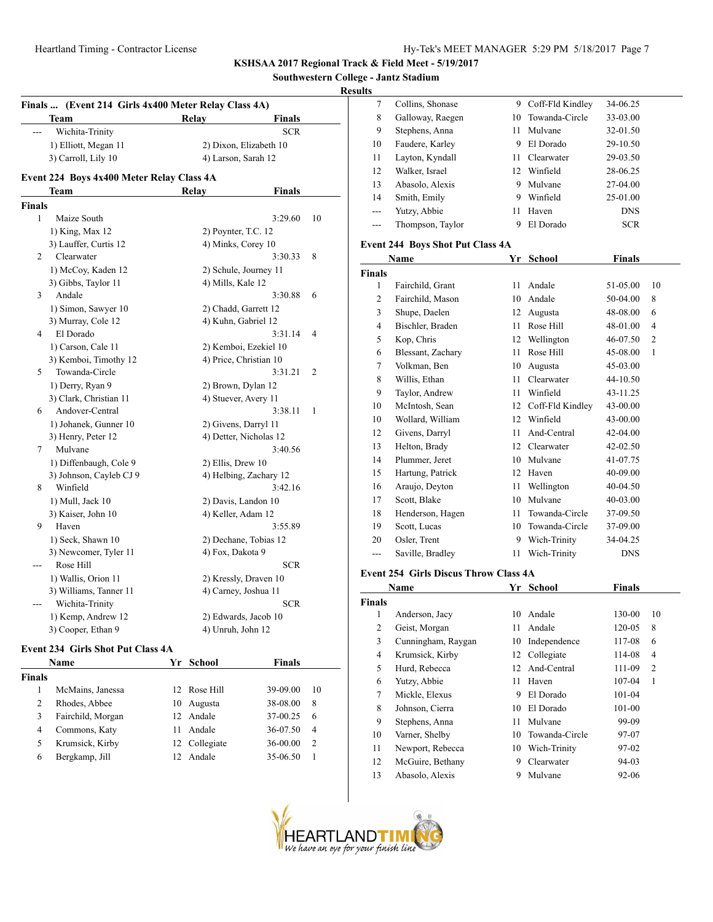**Southwestern College - Jantz Stadium**

#### **Resul**

| Finals  (Event 214 Girls 4x400 Meter Relay Class 4A) |                                           |                               |    |  |
|------------------------------------------------------|-------------------------------------------|-------------------------------|----|--|
|                                                      | Team                                      | Relay<br><b>Finals</b>        |    |  |
|                                                      | Wichita-Trinity                           | <b>SCR</b>                    |    |  |
|                                                      | 1) Elliott, Megan 11                      | 2) Dixon, Elizabeth 10        |    |  |
|                                                      | 3) Carroll, Lily 10                       | 4) Larson, Sarah 12           |    |  |
|                                                      | Event 224 Boys 4x400 Meter Relay Class 4A |                               |    |  |
|                                                      | Team                                      | <b>Finals</b><br><b>Relay</b> |    |  |
| Finals                                               |                                           |                               |    |  |
| $\mathbf{1}$                                         | Maize South                               | 3:29.60                       | 10 |  |
|                                                      | 1) King, Max 12                           | 2) Poynter, T.C. 12           |    |  |
|                                                      | 3) Lauffer, Curtis 12                     | 4) Minks, Corey 10            |    |  |
| 2                                                    | Clearwater                                | 3:30.33                       | 8  |  |
|                                                      | 1) McCoy, Kaden 12                        | 2) Schule, Journey 11         |    |  |
|                                                      | 3) Gibbs, Taylor 11                       | 4) Mills, Kale 12             |    |  |
| 3                                                    | Andale                                    | 3:30.88                       | 6  |  |
|                                                      | 1) Simon, Sawyer 10                       | 2) Chadd, Garrett 12          |    |  |
|                                                      | 3) Murray, Cole 12                        | 4) Kuhn, Gabriel 12           |    |  |
| 4                                                    | El Dorado                                 | 3:31.14                       | 4  |  |
|                                                      | 1) Carson, Cale 11                        | 2) Kemboi, Ezekiel 10         |    |  |
|                                                      | 3) Kemboi, Timothy 12                     | 4) Price, Christian 10        |    |  |
| 5                                                    | Towanda-Circle                            | 3:31.21                       | 2  |  |
|                                                      | 1) Derry, Ryan 9                          | 2) Brown, Dylan 12            |    |  |
|                                                      | 3) Clark, Christian 11                    | 4) Stuever, Avery 11          |    |  |
| 6                                                    | Andover-Central                           | 3:38.11                       | 1  |  |
|                                                      | 1) Johanek, Gunner 10                     | 2) Givens, Darryl 11          |    |  |
|                                                      | 3) Henry, Peter 12                        | 4) Detter, Nicholas 12        |    |  |
| 7                                                    | Mulvane                                   | 3:40.56                       |    |  |
|                                                      | 1) Diffenbaugh, Cole 9                    | 2) Ellis, Drew 10             |    |  |
|                                                      | 3) Johnson, Cayleb CJ 9                   | 4) Helbing, Zachary 12        |    |  |
| 8                                                    | Winfield                                  | 3:42.16                       |    |  |
|                                                      | 1) Mull, Jack 10                          | 2) Davis, Landon 10           |    |  |
|                                                      | 3) Kaiser, John 10                        | 4) Keller, Adam 12            |    |  |
| 9                                                    | Haven                                     | 3:55.89                       |    |  |
|                                                      | 1) Seck, Shawn 10                         | 2) Dechane, Tobias 12         |    |  |
|                                                      | 3) Newcomer, Tyler 11                     | 4) Fox, Dakota 9              |    |  |
|                                                      | Rose Hill                                 | <b>SCR</b>                    |    |  |
|                                                      | 1) Wallis, Orion 11                       | 2) Kressly, Draven 10         |    |  |
|                                                      | 3) Williams, Tanner 11                    | 4) Carney, Joshua 11          |    |  |
|                                                      | Wichita-Trinity                           | <b>SCR</b>                    |    |  |
|                                                      | 1) Kemp, Andrew 12                        | 2) Edwards, Jacob 10          |    |  |
|                                                      | 3) Cooper, Ethan 9                        | 4) Unruh, John 12             |    |  |

### **Event 234 Girls Shot Put Class 4A**

|               | <b>Name</b>       | Yr  | School        | <b>Finals</b> |                |
|---------------|-------------------|-----|---------------|---------------|----------------|
| <b>Finals</b> |                   |     |               |               |                |
|               | McMains, Janessa  |     | 12 Rose Hill  | 39-09.00      | 10             |
| 2             | Rhodes, Abbee     | 10  | Augusta       | 38-08.00      | 8              |
| 3             | Fairchild, Morgan |     | 12 Andale     | 37-00.25      | 6              |
| 4             | Commons, Katy     | 11  | Andale        | 36-07.50      | $\overline{4}$ |
| 5             | Krumsick, Kirby   |     | 12 Collegiate | $36 - 00.00$  | $\overline{c}$ |
| 6             | Bergkamp, Jill    | 12. | Andale        | 35-06.50      |                |
|               |                   |     |               |               |                |

| lts   |                                         |     |                  |               |  |  |  |
|-------|-----------------------------------------|-----|------------------|---------------|--|--|--|
| 7     | Collins, Shonase                        | 9   | Coff-Fld Kindley | 34-06.25      |  |  |  |
| 8     | Galloway, Raegen                        | 10. | Towanda-Circle   | 33-03.00      |  |  |  |
| 9     | Stephens, Anna                          | 11  | Mulvane          | 32-01.50      |  |  |  |
| 10    | Faudere, Karley                         | 9   | El Dorado        | 29-10.50      |  |  |  |
| 11    | Layton, Kyndall                         | 11. | Clearwater       | 29-03.50      |  |  |  |
| 12    | Walker, Israel                          | 12  | Winfield         | 28-06.25      |  |  |  |
| 13    | Abasolo, Alexis                         | 9   | Mulvane          | 27-04.00      |  |  |  |
| 14    | Smith, Emily                            | 9   | Winfield         | 25-01.00      |  |  |  |
| $---$ | Yutzy, Abbie                            | 11  | Haven            | <b>DNS</b>    |  |  |  |
|       | Thompson, Taylor                        | 9   | El Dorado        | <b>SCR</b>    |  |  |  |
|       | <b>Event 244 Boys Shot Put Class 4A</b> |     |                  |               |  |  |  |
|       | Name                                    | Yr  | <b>School</b>    | <b>Finals</b> |  |  |  |

## **Finals** 1 Fairchild, Grant 11 Andale 51-05.00 10 2 Fairchild, Mason 10 Andale 50-04.00 8 3 Shupe, Daelen 12 Augusta 48-08.00 6 4 Bischler, Braden 11 Rose Hill 48-01.00 4 5 Kop, Chris 12 Wellington 46-07.50 2 6 Blessant, Zachary 11 Rose Hill 45-08.00 1 7 Volkman, Ben 10 Augusta 45-03.00 8 Willis, Ethan 11 Clearwater 44-10.50 9 Taylor, Andrew 11 Winfield 43-11.25 10 McIntosh, Sean 12 Coff-Fld Kindley 43-00.00 10 Wollard, William 12 Winfield 43-00.00 12 Givens, Darryl 11 And-Central 42-04.00 13 Helton, Brady 12 Clearwater 42-02.50 14 Plummer, Jeret 10 Mulvane 41-07.75 15 Hartung, Patrick 12 Haven 40-09.00 16 Araujo, Deyton 11 Wellington 40-04.50 17 Scott, Blake 10 Mulvane 40-03.00 18 Henderson, Hagen 11 Towanda-Circle 37-09.50 19 Scott, Lucas 10 Towanda-Circle 37-09.00 20 Osler, Trent 9 Wich-Trinity 34-04.25 --- Saville, Bradley 11 Wich-Trinity DNS

#### **Event 254 Girls Discus Throw Class 4A**

|                    | Yr   | School         | <b>Finals</b> |                |
|--------------------|------|----------------|---------------|----------------|
|                    |      |                |               |                |
| Anderson, Jacy     | 10   | Andale         | 130-00        | 10             |
| Geist, Morgan      | 11   | Andale         | 120-05        | 8              |
| Cunningham, Raygan | 10   | Independence   | 117-08        | 6              |
| Krumsick, Kirby    | 12   | Collegiate     | 114-08        | 4              |
| Hurd, Rebecca      | 12   | And-Central    | 111-09        | $\overline{2}$ |
| Yutzy, Abbie       | 11   | Haven          | 107-04        | 1              |
| Mickle, Elexus     | 9    | El Dorado      | $101 - 04$    |                |
| Johnson, Cierra    | 10   | El Dorado      | 101-00        |                |
| Stephens, Anna     | 11   | Mulvane        | 99-09         |                |
| Varner, Shelby     | 10   | Towanda-Circle | 97-07         |                |
| Newport, Rebecca   | 10   | Wich-Trinity   | 97-02         |                |
| McGuire, Bethany   | 9    | Clearwater     | 94-03         |                |
| Abasolo, Alexis    | 9    | Mulvane        | 92-06         |                |
|                    | Name |                |               |                |

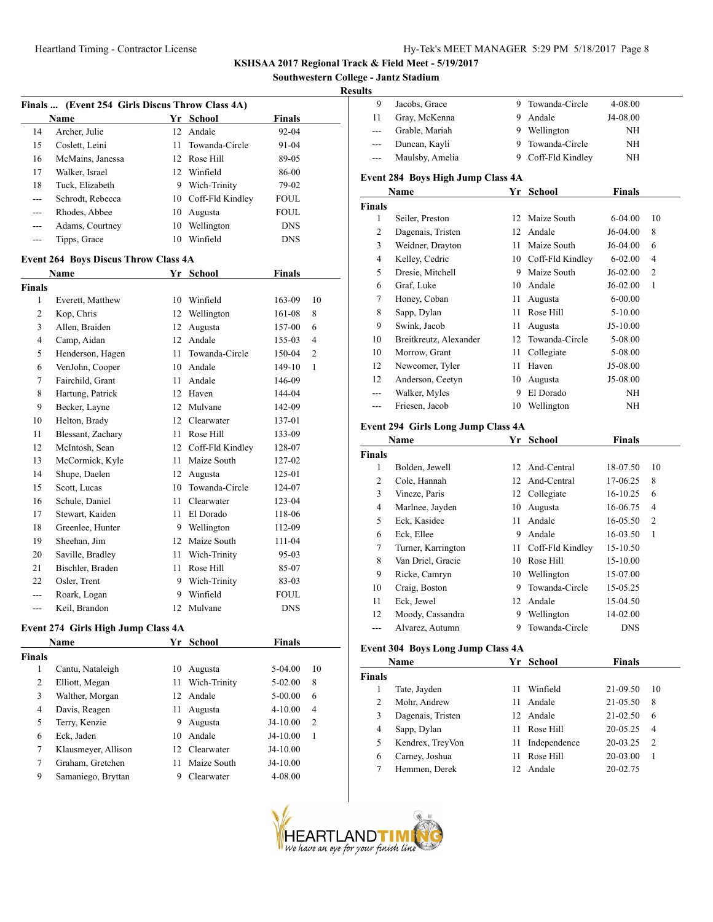**Southwestern College - Jantz Stadium**

#### **Resu**

|                | Finals  (Event 254 Girls Discus Throw Class 4A) |    |                     |               |                |
|----------------|-------------------------------------------------|----|---------------------|---------------|----------------|
|                | <b>Name</b>                                     |    | Yr School           | <b>Finals</b> |                |
| 14             | Archer, Julie                                   | 12 | Andale              | 92-04         |                |
| 15             | Coslett, Leini                                  | 11 | Towanda-Circle      | 91-04         |                |
| 16             | McMains, Janessa                                | 12 | Rose Hill           | 89-05         |                |
| 17             | Walker, Israel                                  |    | 12 Winfield         | 86-00         |                |
| 18             | Tuck, Elizabeth                                 |    | 9 Wich-Trinity      | 79-02         |                |
| $\overline{a}$ | Schrodt, Rebecca                                |    | 10 Coff-Fld Kindley | <b>FOUL</b>   |                |
| ---            | Rhodes, Abbee                                   |    | 10 Augusta          | <b>FOUL</b>   |                |
| ---            | Adams, Courtney                                 | 10 | Wellington          | <b>DNS</b>    |                |
| ---            | Tipps, Grace                                    | 10 | Winfield            | <b>DNS</b>    |                |
|                | <b>Event 264 Boys Discus Throw Class 4A</b>     |    |                     |               |                |
|                | Name                                            |    | Yr School           | <b>Finals</b> |                |
| <b>Finals</b>  |                                                 |    |                     |               |                |
| $\mathbf{1}$   | Everett, Matthew                                | 10 | Winfield            | 163-09        | 10             |
| 2              | Kop, Chris                                      | 12 | Wellington          | 161-08        | 8              |
| 3              | Allen, Braiden                                  | 12 | Augusta             | 157-00        | 6              |
| $\overline{4}$ | Camp, Aidan                                     | 12 | Andale              | 155-03        | $\overline{4}$ |
| 5              | Henderson, Hagen                                | 11 | Towanda-Circle      | 150-04        | $\overline{c}$ |
| 6              | VenJohn, Cooper                                 |    | 10 Andale           | 149-10        | 1              |
| 7              | Fairchild, Grant                                | 11 | Andale              | 146-09        |                |
| 8              | Hartung, Patrick                                | 12 | Haven               | 144-04        |                |
| 9              | Becker, Layne                                   |    | 12 Mulvane          | 142-09        |                |
| 10             | Helton, Brady                                   | 12 | Clearwater          | 137-01        |                |
| 11             | Blessant, Zachary                               | 11 | Rose Hill           | 133-09        |                |
| 12             | McIntosh, Sean                                  |    | 12 Coff-Fld Kindley | 128-07        |                |
| 13             | McCormick, Kyle                                 | 11 | Maize South         | 127-02        |                |
| 14             | Shupe, Daelen                                   | 12 | Augusta             | 125-01        |                |
| 15             | Scott, Lucas                                    | 10 | Towanda-Circle      | 124-07        |                |
| 16             | Schule, Daniel                                  | 11 | Clearwater          | 123-04        |                |
| 17             | Stewart, Kaiden                                 | 11 | El Dorado           | 118-06        |                |
| 18             | Greenlee, Hunter                                |    | 9 Wellington        | 112-09        |                |
| 19             | Sheehan, Jim                                    |    | 12 Maize South      | 111-04        |                |
| 20             | Saville, Bradley                                | 11 | Wich-Trinity        | 95-03         |                |
| 21             | Bischler, Braden                                | 11 | Rose Hill           | 85-07         |                |
| 22             | Osler, Trent                                    | 9  | Wich-Trinity        | 83-03         |                |
| ---            | Roark, Logan                                    | 9  | Winfield            | <b>FOUL</b>   |                |
| ---            | Keil, Brandon                                   | 12 | Mulvane             | <b>DNS</b>    |                |
|                | Event 274 Girls High Jump Class 4A              |    |                     |               |                |
|                | Name                                            | Yr | <b>School</b>       | <b>Finals</b> |                |
| <b>Finals</b>  |                                                 |    |                     |               |                |

| nals           |                     |                 |              |             |                |  |
|----------------|---------------------|-----------------|--------------|-------------|----------------|--|
| 1              | Cantu, Nataleigh    | 10              | Augusta      | 5-04.00     | 10             |  |
| $\overline{c}$ | Elliott, Megan      | 11              | Wich-Trinity | $5-02.00$   | 8              |  |
| 3              | Walther, Morgan     | 12 <sup>1</sup> | Andale       | $5 - 00.00$ | 6              |  |
| 4              | Davis, Reagen       | 11              | Augusta      | $4 - 10.00$ | $\overline{4}$ |  |
| 5              | Terry, Kenzie       | 9               | Augusta      | $J4-10.00$  | 2              |  |
| 6              | Eck, Jaden          | 10              | Andale       | $J4-10.00$  | 1              |  |
| 7              | Klausmeyer, Allison | 12.             | Clearwater   | $J4-10.00$  |                |  |
| 7              | Graham, Gretchen    | 11              | Maize South  | $J4-10.00$  |                |  |
| 9              | Samaniego, Bryttan  | 9               | Clearwater   | 4-08.00     |                |  |
|                |                     |                 |              |             |                |  |

| ılts<br>9                  | Jacobs, Grace                                     | 9        | Towanda-Circle               | 4-08.00              |    |
|----------------------------|---------------------------------------------------|----------|------------------------------|----------------------|----|
| 11                         | Gray, McKenna                                     | 9        | Andale                       | J4-08.00             |    |
| ---                        | Grable, Mariah                                    |          | 9 Wellington                 | NH                   |    |
| ---                        | Duncan, Kayli                                     | 9        | Towanda-Circle               | NΗ                   |    |
| $---$                      | Maulsby, Amelia                                   | 9.       | Coff-Fld Kindley             | ΝH                   |    |
|                            | <b>Event 284 Boys High Jump Class 4A</b>          |          |                              |                      |    |
|                            | Name                                              | Yr       | School                       | <b>Finals</b>        |    |
| <b>Finals</b>              |                                                   |          |                              |                      |    |
| 1                          | Seiler, Preston                                   | 12       | Maize South                  | 6-04.00              | 10 |
| 2                          | Dagenais, Tristen                                 |          | 12 Andale                    | J6-04.00             | 8  |
| 3                          | Weidner, Drayton                                  |          | 11 Maize South               | J6-04.00             | 6  |
| $\overline{4}$             | Kelley, Cedric                                    |          | 10 Coff-Fld Kindley          | $6 - 02.00$          | 4  |
| 5                          | Dresie, Mitchell                                  |          | 9 Maize South                | J6-02.00             | 2  |
| 6                          | Graf, Luke                                        |          | 10 Andale                    | J6-02.00             | 1  |
| 7                          | Honey, Coban                                      | 11       | Augusta                      | $6 - 00.00$          |    |
| 8                          | Sapp, Dylan                                       | 11       | Rose Hill                    | 5-10.00              |    |
| 9                          | Swink, Jacob                                      | 11       | Augusta                      | J5-10.00             |    |
| 10                         | Breitkreutz, Alexander                            | 12       | Towanda-Circle               | 5-08.00              |    |
| 10                         | Morrow, Grant                                     | 11       | Collegiate                   | 5-08.00              |    |
| 12                         | Newcomer, Tyler                                   | 11       | Haven                        | J5-08.00             |    |
| 12                         | Anderson, Ceetyn                                  | 10       | Augusta                      | J5-08.00             |    |
| ---                        | Walker, Myles                                     | 9        | El Dorado                    | NH                   |    |
| ---                        | Friesen, Jacob                                    | 10       | Wellington                   | NH                   |    |
|                            |                                                   |          |                              |                      |    |
|                            | <b>Event 294 Girls Long Jump Class 4A</b><br>Name |          | Yr School                    | <b>Finals</b>        |    |
| <b>Finals</b>              |                                                   |          |                              |                      |    |
|                            |                                                   |          |                              |                      |    |
| 1                          | Bolden, Jewell                                    | 12       | And-Central                  | 18-07.50             | 10 |
| 2                          | Cole, Hannah                                      | 12       | And-Central                  | 17-06.25             | 8  |
| 3                          | Vincze, Paris                                     | 12       | Collegiate                   | 16-10.25             | 6  |
| 4                          |                                                   | 10       | Augusta                      | 16-06.75             | 4  |
| 5                          | Marlnee, Jayden<br>Eck, Kasidee                   | 11       | Andale                       | 16-05.50             | 2  |
| 6                          | Eck, Ellee                                        | 9        | Andale                       | 16-03.50             | 1  |
| 7                          | Turner, Karrington                                | 11       | Coff-Fld Kindley             | 15-10.50             |    |
| 8                          | Van Driel, Gracie                                 |          | 10 Rose Hill                 | 15-10.00             |    |
| 9                          | Ricke, Camryn                                     | 10       | Wellington                   | 15-07.00             |    |
| 10                         | Craig, Boston                                     | 9        | Towanda-Circle               | 15-05.25             |    |
| 11                         | Eck, Jewel                                        |          |                              | 15-04.50             |    |
| 12                         |                                                   | 9        | 12 Andale                    | 14-02.00             |    |
| ---                        | Moody, Cassandra<br>Alvarez, Autumn               | 9        | Wellington<br>Towanda-Circle | DNS                  |    |
|                            |                                                   |          |                              |                      |    |
|                            | <b>Event 304 Boys Long Jump Class 4A</b>          |          |                              |                      |    |
|                            | Name                                              |          | Yr School                    | <b>Finals</b>        |    |
| Finals<br>1                |                                                   | 11       |                              |                      | 10 |
| $\mathbf{2}$               | Tate, Jayden<br>Mohr, Andrew                      | 11       | Winfield<br>Andale           | 21-09.50             | 8  |
|                            |                                                   |          | Andale                       | 21-05.50             | 6  |
| 3<br>4                     | Dagenais, Tristen                                 | 12<br>11 | Rose Hill                    | 21-02.50             | 4  |
|                            | Sapp, Dylan                                       | 11       |                              | 20-05.25             | 2  |
| 5                          | Kendrex, TreyVon                                  | 11       | Independence<br>Rose Hill    | 20-03.25             | 1  |
| $\boldsymbol{6}$<br>$\tau$ | Carney, Joshua<br>Hemmen, Derek                   | 12       | Andale                       | 20-03.00<br>20-02.75 |    |

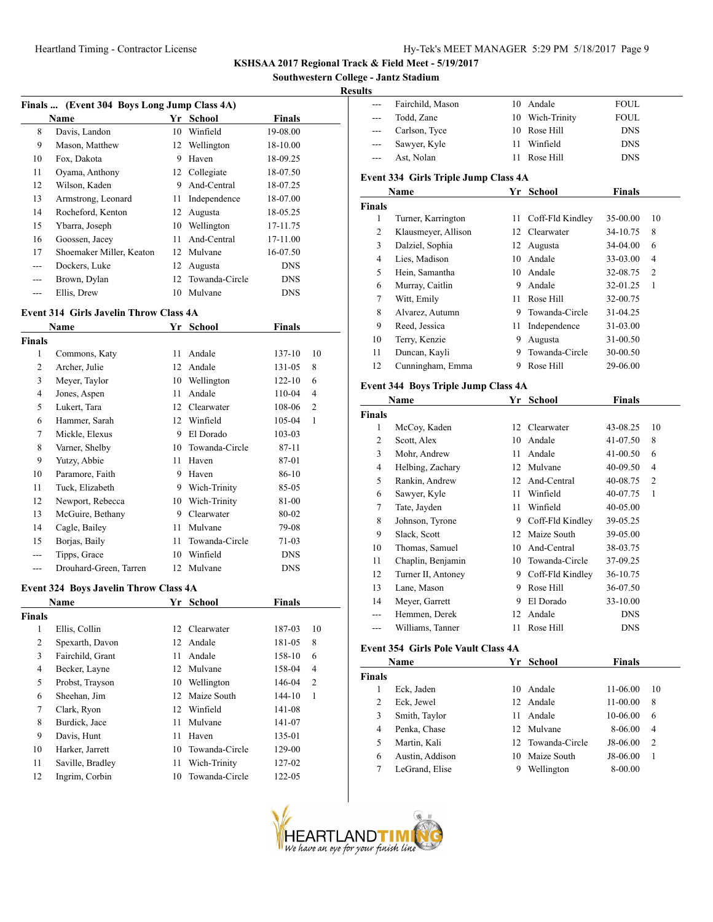**Southwestern College - Jantz Stadium**

#### **Res**

| Finals  (Event 304 Boys Long Jump Class 4A) |                          |    |                |            |  |  |
|---------------------------------------------|--------------------------|----|----------------|------------|--|--|
|                                             | Name                     | Yr | School         | Finals     |  |  |
| 8                                           | Davis, Landon            | 10 | Winfield       | 19-08.00   |  |  |
| 9                                           | Mason, Matthew           | 12 | Wellington     | 18-10.00   |  |  |
| 10                                          | Fox, Dakota              | 9  | Haven          | 18-09.25   |  |  |
| 11                                          | Ovama, Anthony           | 12 | Collegiate     | 18-07.50   |  |  |
| 12                                          | Wilson, Kaden            | 9  | And-Central    | 18-07.25   |  |  |
| 13                                          | Armstrong, Leonard       | 11 | Independence   | 18-07.00   |  |  |
| 14                                          | Rocheford, Kenton        | 12 | Augusta        | 18-05.25   |  |  |
| 15                                          | Ybarra, Joseph           | 10 | Wellington     | 17-11.75   |  |  |
| 16                                          | Goossen, Jacey           | 11 | And-Central    | 17-11.00   |  |  |
| 17                                          | Shoemaker Miller, Keaton | 12 | Mulvane        | 16-07.50   |  |  |
| $---$                                       | Dockers, Luke            | 12 | Augusta        | <b>DNS</b> |  |  |
| $---$                                       | Brown, Dylan             | 12 | Towanda-Circle | <b>DNS</b> |  |  |
|                                             | Ellis, Drew              | 10 | Mulvane        | <b>DNS</b> |  |  |

# **Event 314 Girls Javelin Throw Class 4A**

|                | Name                   | Yr | <b>School</b>  | Finals     |    |
|----------------|------------------------|----|----------------|------------|----|
| <b>Finals</b>  |                        |    |                |            |    |
| 1              | Commons, Katy          | 11 | Andale         | 137-10     | 10 |
| $\overline{2}$ | Archer, Julie          | 12 | Andale         | 131-05     | 8  |
| 3              | Meyer, Taylor          | 10 | Wellington     | $122 - 10$ | 6  |
| $\overline{4}$ | Jones, Aspen           | 11 | Andale         | 110-04     | 4  |
| 5              | Lukert, Tara           | 12 | Clearwater     | 108-06     | 2  |
| 6              | Hammer, Sarah          | 12 | Winfield       | 105-04     | 1  |
| 7              | Mickle, Elexus         | 9  | El Dorado      | 103-03     |    |
| 8              | Varner, Shelby         | 10 | Towanda-Circle | 87-11      |    |
| 9              | Yutzy, Abbie           | 11 | Haven          | 87-01      |    |
| 10             | Paramore, Faith        | 9  | Haven          | 86-10      |    |
| 11             | Tuck, Elizabeth        | 9  | Wich-Trinity   | 85-05      |    |
| 12             | Newport, Rebecca       | 10 | Wich-Trinity   | 81-00      |    |
| 13             | McGuire, Bethany       | 9  | Clearwater     | 80-02      |    |
| 14             | Cagle, Bailey          | 11 | Mulvane        | 79-08      |    |
| 15             | Borjas, Baily          | 11 | Towanda-Circle | 71-03      |    |
| ---            | Tipps, Grace           | 10 | Winfield       | <b>DNS</b> |    |
| ---            | Drouhard-Green, Tarren | 12 | Mulvane        | <b>DNS</b> |    |

## **Event 324 Boys Javelin Throw Class 4A**

| <b>Name</b>   |                  | Yr              | <b>Finals</b><br>School |            |                |  |
|---------------|------------------|-----------------|-------------------------|------------|----------------|--|
| <b>Finals</b> |                  |                 |                         |            |                |  |
| 1             | Ellis, Collin    | 12 <sub>1</sub> | Clearwater              | 187-03     | 10             |  |
| 2             | Spexarth, Davon  | 12              | Andale                  | 181-05     | 8              |  |
| 3             | Fairchild, Grant | 11              | Andale                  | 158-10     | 6              |  |
| 4             | Becker, Layne    | 12              | Mulvane                 | 158-04     | 4              |  |
| 5             | Probst, Trayson  | 10              | Wellington              | 146-04     | $\overline{2}$ |  |
| 6             | Sheehan, Jim     | 12              | Maize South             | $144 - 10$ | 1              |  |
| 7             | Clark, Ryon      | 12              | Winfield                | 141-08     |                |  |
| 8             | Burdick, Jace    | 11              | Mulvane                 | 141-07     |                |  |
| 9             | Davis, Hunt      | 11              | Haven                   | 135-01     |                |  |
| 10            | Harker, Jarrett  | 10              | Towanda-Circle          | 129-00     |                |  |
| 11            | Saville, Bradley | 11              | Wich-Trinity            | 127-02     |                |  |
| 12            | Ingrim, Corbin   | 10              | Towanda-Circle          | 122-05     |                |  |
|               |                  |                 |                         |            |                |  |

| :suits                   |                                            |    |                                     |               |                |
|--------------------------|--------------------------------------------|----|-------------------------------------|---------------|----------------|
| $\overline{a}$           | Fairchild, Mason                           | 10 | Andale                              | <b>FOUL</b>   |                |
| ---                      | Todd, Zane                                 | 10 | Wich-Trinity                        | FOUL          |                |
| ---                      | Carlson, Tyce                              | 10 | Rose Hill                           | <b>DNS</b>    |                |
| ---                      | Sawyer, Kyle                               | 11 | Winfield                            | <b>DNS</b>    |                |
| ---                      | Ast, Nolan                                 | 11 | Rose Hill                           | <b>DNS</b>    |                |
|                          | Event 334 Girls Triple Jump Class 4A       |    |                                     |               |                |
|                          | Name                                       |    | Yr School                           | <b>Finals</b> |                |
| <b>Finals</b>            |                                            |    |                                     |               |                |
| 1                        | Turner, Karrington                         | 11 | Coff-Fld Kindley                    | 35-00.00      | 10             |
| 2                        | Klausmeyer, Allison                        | 12 | Clearwater                          | 34-10.75      | 8              |
| 3                        | Dalziel, Sophia                            | 12 | Augusta                             | 34-04.00      | 6              |
| $\overline{4}$           | Lies, Madison                              | 10 | Andale                              | 33-03.00      | 4              |
| 5                        | Hein, Samantha                             | 10 | Andale                              | 32-08.75      | 2              |
| 6                        | Murray, Caitlin                            | 9  | Andale                              | 32-01.25      | 1              |
| $\tau$                   | Witt, Emily                                |    | 11 Rose Hill                        | 32-00.75      |                |
| 8                        | Alvarez, Autumn                            |    | 9 Towanda-Circle                    | 31-04.25      |                |
| 9                        | Reed, Jessica                              |    | 11 Independence                     | 31-03.00      |                |
| 10                       | Terry, Kenzie                              | 9  | Augusta                             | 31-00.50      |                |
| 11                       | Duncan, Kayli                              | 9  | Towanda-Circle                      | 30-00.50      |                |
| 12                       | Cunningham, Emma                           | 9. | Rose Hill                           | 29-06.00      |                |
|                          | Event 344 Boys Triple Jump Class 4A        |    |                                     |               |                |
|                          | Name                                       |    | Yr School                           | Finals        |                |
| <b>Finals</b>            |                                            |    |                                     |               |                |
| 1                        | McCoy, Kaden                               | 12 | Clearwater                          | 43-08.25      | 10             |
| 2                        | Scott, Alex                                | 10 | Andale                              | 41-07.50      | 8              |
| 3                        | Mohr, Andrew                               | 11 | Andale                              | 41-00.50      | 6              |
| $\overline{4}$           | Helbing, Zachary                           |    | 12 Mulvane                          | 40-09.50      | 4              |
| 5                        | Rankin, Andrew                             |    | 12 And-Central                      | 40-08.75      | $\overline{c}$ |
| 6                        | Sawyer, Kyle                               |    | 11 Winfield                         | 40-07.75      | 1              |
| 7                        | Tate, Jayden                               | 11 | Winfield                            | 40-05.00      |                |
| 8                        | Johnson, Tyrone                            |    | 9 Coff-Fld Kindley                  |               |                |
|                          |                                            |    | 12 Maize South                      | 39-05.25      |                |
| 9                        | Slack, Scott                               |    |                                     | 39-05.00      |                |
| 10                       | Thomas, Samuel                             |    | 10 And-Central<br>10 Towanda-Circle | 38-03.75      |                |
| 11                       | Chaplin, Benjamin                          |    |                                     | 37-09.25      |                |
| 12                       | Turner II, Antoney                         |    | 9 Coff-Fld Kindley                  | 36-10.75      |                |
| 13                       | Lane, Mason                                | 9  | Rose Hill                           | 36-07.50      |                |
| 14                       | Meyer, Garrett                             | 9  | El Dorado                           | 33-10.00      |                |
| ---                      | Hemmen, Derek                              | 12 | Andale                              | <b>DNS</b>    |                |
| $\overline{\phantom{a}}$ | Williams, Tanner                           | 11 | Rose Hill                           | <b>DNS</b>    |                |
|                          | <b>Event 354 Girls Pole Vault Class 4A</b> |    |                                     |               |                |
|                          | Name                                       | Yr | <b>School</b>                       | <b>Finals</b> |                |
| <b>Finals</b>            |                                            |    |                                     |               |                |
| 1                        | Eck, Jaden                                 | 10 | Andale                              | 11-06.00      | 10             |
| $\overline{c}$           | Eck, Jewel                                 | 12 | Andale                              | 11-00.00      | 8              |
| 3                        | Smith, Taylor                              | 11 | Andale                              | 10-06.00      | 6              |
| $\overline{4}$           | Penka, Chase                               | 12 | Mulvane                             | 8-06.00       | 4              |
| 5                        | Martin, Kali                               | 12 | Towanda-Circle                      | J8-06.00      | $\mathfrak{2}$ |

 Austin, Addison 10 Maize South J8-06.00 1 7 LeGrand, Elise 9 Wellington 8-00.00